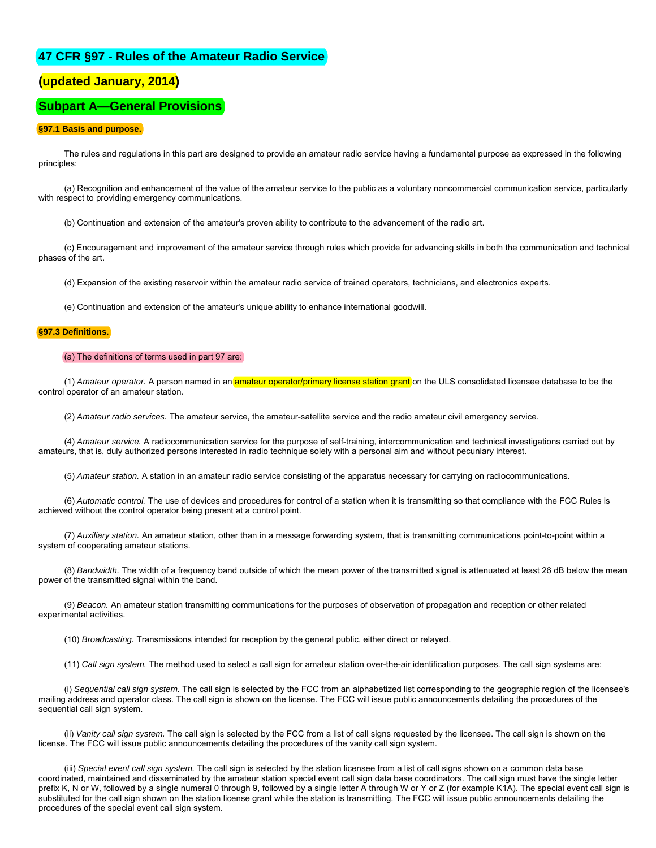# **47 CFR §97 - Rules of the Amateur Radio Service**

# **(updated January, 2014)**

# **Subpart A—General Provisions**

# **§97.1 Basis and purpose.**

The rules and regulations in this part are designed to provide an amateur radio service having a fundamental purpose as expressed in the following principles:

(a) Recognition and enhancement of the value of the amateur service to the public as a voluntary noncommercial communication service, particularly with respect to providing emergency communications.

(b) Continuation and extension of the amateur's proven ability to contribute to the advancement of the radio art.

(c) Encouragement and improvement of the amateur service through rules which provide for advancing skills in both the communication and technical phases of the art.

(d) Expansion of the existing reservoir within the amateur radio service of trained operators, technicians, and electronics experts.

(e) Continuation and extension of the amateur's unique ability to enhance international goodwill.

# **§97.3 Definitions.**

# (a) The definitions of terms used in part 97 are:

(1) *Amateur operator.* A person named in an **amateur operator/primary license station grant** on the ULS consolidated licensee database to be the control operator of an amateur station.

(2) *Amateur radio services.* The amateur service, the amateur-satellite service and the radio amateur civil emergency service.

(4) *Amateur service.* A radiocommunication service for the purpose of self-training, intercommunication and technical investigations carried out by amateurs, that is, duly authorized persons interested in radio technique solely with a personal aim and without pecuniary interest.

(5) *Amateur station.* A station in an amateur radio service consisting of the apparatus necessary for carrying on radiocommunications.

(6) *Automatic control.* The use of devices and procedures for control of a station when it is transmitting so that compliance with the FCC Rules is achieved without the control operator being present at a control point.

(7) *Auxiliary station.* An amateur station, other than in a message forwarding system, that is transmitting communications point-to-point within a system of cooperating amateur stations.

(8) *Bandwidth.* The width of a frequency band outside of which the mean power of the transmitted signal is attenuated at least 26 dB below the mean power of the transmitted signal within the band.

(9) *Beacon.* An amateur station transmitting communications for the purposes of observation of propagation and reception or other related experimental activities.

(10) *Broadcasting.* Transmissions intended for reception by the general public, either direct or relayed.

(11) *Call sign system.* The method used to select a call sign for amateur station over-the-air identification purposes. The call sign systems are:

(i) *Sequential call sign system.* The call sign is selected by the FCC from an alphabetized list corresponding to the geographic region of the licensee's mailing address and operator class. The call sign is shown on the license. The FCC will issue public announcements detailing the procedures of the sequential call sign system.

(ii) *Vanity call sign system.* The call sign is selected by the FCC from a list of call signs requested by the licensee. The call sign is shown on the license. The FCC will issue public announcements detailing the procedures of the vanity call sign system.

(iii) *Special event call sign system.* The call sign is selected by the station licensee from a list of call signs shown on a common data base coordinated, maintained and disseminated by the amateur station special event call sign data base coordinators. The call sign must have the single letter prefix K, N or W, followed by a single numeral 0 through 9, followed by a single letter A through W or Y or Z (for example K1A). The special event call sign is substituted for the call sign shown on the station license grant while the station is transmitting. The FCC will issue public announcements detailing the procedures of the special event call sign system.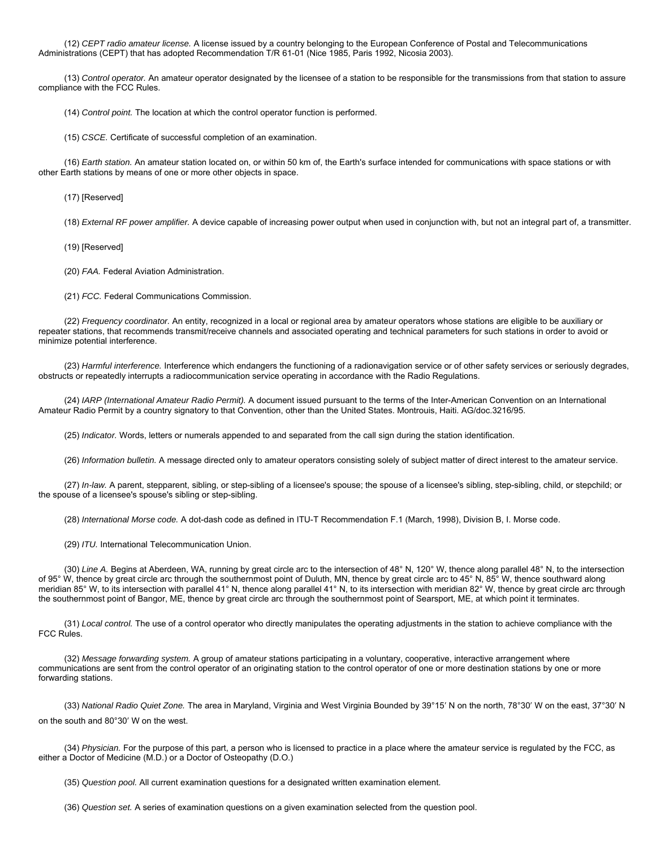(12) *CEPT radio amateur license.* A license issued by a country belonging to the European Conference of Postal and Telecommunications Administrations (CEPT) that has adopted Recommendation T/R 61-01 (Nice 1985, Paris 1992, Nicosia 2003).

(13) *Control operator.* An amateur operator designated by the licensee of a station to be responsible for the transmissions from that station to assure compliance with the FCC Rules.

(14) *Control point.* The location at which the control operator function is performed.

(15) *CSCE.* Certificate of successful completion of an examination.

(16) *Earth station.* An amateur station located on, or within 50 km of, the Earth's surface intended for communications with space stations or with other Earth stations by means of one or more other objects in space.

(17) [Reserved]

(18) *External RF power amplifier.* A device capable of increasing power output when used in conjunction with, but not an integral part of, a transmitter.

- (19) [Reserved]
- (20) *FAA.* Federal Aviation Administration.
- (21) *FCC.* Federal Communications Commission.

(22) *Frequency coordinator.* An entity, recognized in a local or regional area by amateur operators whose stations are eligible to be auxiliary or repeater stations, that recommends transmit/receive channels and associated operating and technical parameters for such stations in order to avoid or minimize potential interference.

(23) *Harmful interference.* Interference which endangers the functioning of a radionavigation service or of other safety services or seriously degrades, obstructs or repeatedly interrupts a radiocommunication service operating in accordance with the Radio Regulations.

(24) *IARP (International Amateur Radio Permit).* A document issued pursuant to the terms of the Inter-American Convention on an International Amateur Radio Permit by a country signatory to that Convention, other than the United States. Montrouis, Haiti. AG/doc.3216/95.

(25) *Indicator.* Words, letters or numerals appended to and separated from the call sign during the station identification.

(26) *Information bulletin.* A message directed only to amateur operators consisting solely of subject matter of direct interest to the amateur service.

(27) *In-law.* A parent, stepparent, sibling, or step-sibling of a licensee's spouse; the spouse of a licensee's sibling, step-sibling, child, or stepchild; or the spouse of a licensee's spouse's sibling or step-sibling.

(28) *International Morse code.* A dot-dash code as defined in ITU-T Recommendation F.1 (March, 1998), Division B, I. Morse code.

(29) *ITU.* International Telecommunication Union.

(30) *Line A.* Begins at Aberdeen, WA, running by great circle arc to the intersection of 48° N, 120° W, thence along parallel 48° N, to the intersection of 95° W, thence by great circle arc through the southernmost point of Duluth, MN, thence by great circle arc to 45° N, 85° W, thence southward along meridian 85° W, to its intersection with parallel 41° N, thence along parallel 41° N, to its intersection with meridian 82° W, thence by great circle arc through the southernmost point of Bangor, ME, thence by great circle arc through the southernmost point of Searsport, ME, at which point it terminates.

(31) *Local control.* The use of a control operator who directly manipulates the operating adjustments in the station to achieve compliance with the FCC Rules.

(32) *Message forwarding system.* A group of amateur stations participating in a voluntary, cooperative, interactive arrangement where communications are sent from the control operator of an originating station to the control operator of one or more destination stations by one or more forwarding stations.

(33) *National Radio Quiet Zone.* The area in Maryland, Virginia and West Virginia Bounded by 39°15′ N on the north, 78°30′ W on the east, 37°30′ N on the south and 80°30′ W on the west.

(34) *Physician.* For the purpose of this part, a person who is licensed to practice in a place where the amateur service is regulated by the FCC, as either a Doctor of Medicine (M.D.) or a Doctor of Osteopathy (D.O.)

(35) *Question pool.* All current examination questions for a designated written examination element.

(36) *Question set.* A series of examination questions on a given examination selected from the question pool.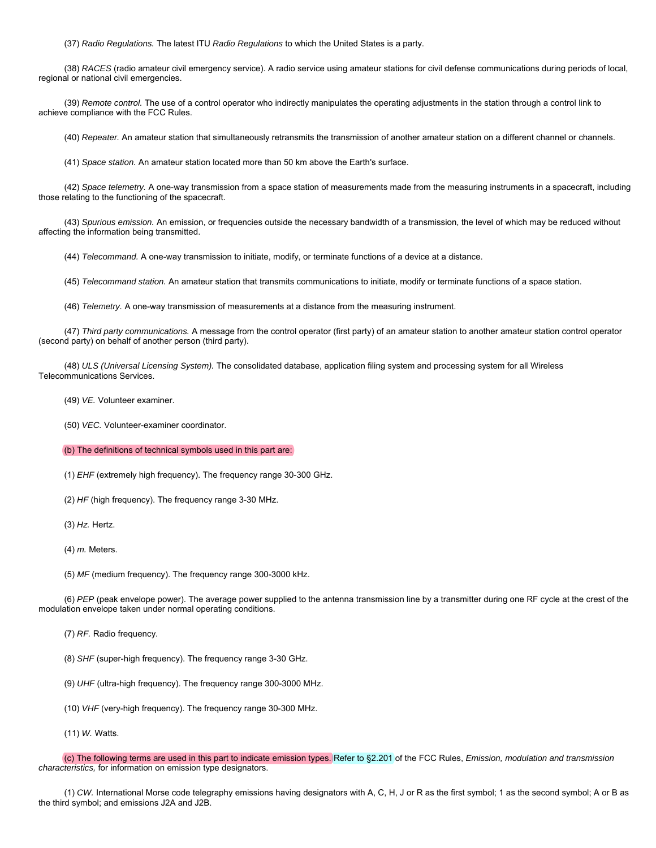(37) *Radio Regulations.* The latest ITU *Radio Regulations* to which the United States is a party.

(38) *RACES* (radio amateur civil emergency service). A radio service using amateur stations for civil defense communications during periods of local, regional or national civil emergencies.

(39) *Remote control.* The use of a control operator who indirectly manipulates the operating adjustments in the station through a control link to achieve compliance with the FCC Rules.

(40) *Repeater.* An amateur station that simultaneously retransmits the transmission of another amateur station on a different channel or channels.

(41) *Space station.* An amateur station located more than 50 km above the Earth's surface.

(42) *Space telemetry.* A one-way transmission from a space station of measurements made from the measuring instruments in a spacecraft, including those relating to the functioning of the spacecraft.

(43) *Spurious emission.* An emission, or frequencies outside the necessary bandwidth of a transmission, the level of which may be reduced without affecting the information being transmitted.

(44) *Telecommand.* A one-way transmission to initiate, modify, or terminate functions of a device at a distance.

(45) *Telecommand station.* An amateur station that transmits communications to initiate, modify or terminate functions of a space station.

(46) *Telemetry.* A one-way transmission of measurements at a distance from the measuring instrument.

(47) *Third party communications.* A message from the control operator (first party) of an amateur station to another amateur station control operator (second party) on behalf of another person (third party).

(48) *ULS (Universal Licensing System).* The consolidated database, application filing system and processing system for all Wireless Telecommunications Services.

(49) *VE.* Volunteer examiner.

(50) *VEC.* Volunteer-examiner coordinator.

(b) The definitions of technical symbols used in this part are:

(1) *EHF* (extremely high frequency). The frequency range 30-300 GHz.

(2) *HF* (high frequency). The frequency range 3-30 MHz.

(3) *Hz.* Hertz.

(4) *m.* Meters.

(5) *MF* (medium frequency). The frequency range 300-3000 kHz.

(6) *PEP* (peak envelope power). The average power supplied to the antenna transmission line by a transmitter during one RF cycle at the crest of the modulation envelope taken under normal operating conditions.

(7) *RF.* Radio frequency.

(8) *SHF* (super-high frequency). The frequency range 3-30 GHz.

- (9) *UHF* (ultra-high frequency). The frequency range 300-3000 MHz.
- (10) *VHF* (very-high frequency). The frequency range 30-300 MHz.
- (11) *W.* Watts.

(c) The following terms are used in this part to indicate emission types. Refer to §2.201 of the FCC Rules, *Emission, modulation and transmission characteristics,* for information on emission type designators.

(1) *CW.* International Morse code telegraphy emissions having designators with A, C, H, J or R as the first symbol; 1 as the second symbol; A or B as the third symbol; and emissions J2A and J2B.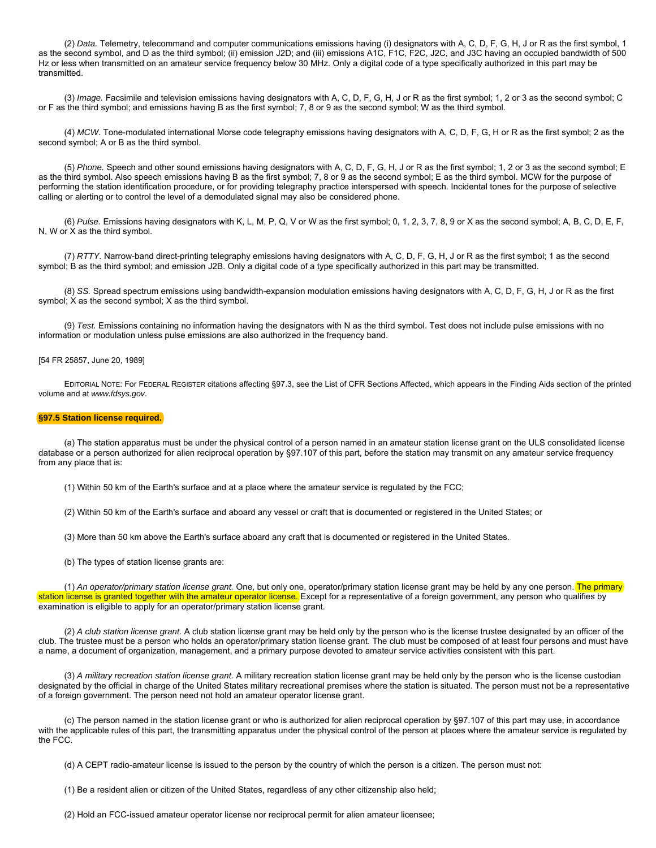(2) *Data.* Telemetry, telecommand and computer communications emissions having (i) designators with A, C, D, F, G, H, J or R as the first symbol, 1 as the second symbol, and D as the third symbol; (ii) emission J2D; and (iii) emissions A1C, F1C, F2C, J2C, and J3C having an occupied bandwidth of 500 Hz or less when transmitted on an amateur service frequency below 30 MHz. Only a digital code of a type specifically authorized in this part may be transmitted.

(3) *Image.* Facsimile and television emissions having designators with A, C, D, F, G, H, J or R as the first symbol; 1, 2 or 3 as the second symbol; C or F as the third symbol; and emissions having B as the first symbol; 7, 8 or 9 as the second symbol; W as the third symbol.

(4) *MCW.* Tone-modulated international Morse code telegraphy emissions having designators with A, C, D, F, G, H or R as the first symbol; 2 as the second symbol; A or B as the third symbol.

(5) *Phone.* Speech and other sound emissions having designators with A, C, D, F, G, H, J or R as the first symbol; 1, 2 or 3 as the second symbol; E as the third symbol. Also speech emissions having B as the first symbol; 7, 8 or 9 as the second symbol; E as the third symbol. MCW for the purpose of performing the station identification procedure, or for providing telegraphy practice interspersed with speech. Incidental tones for the purpose of selective calling or alerting or to control the level of a demodulated signal may also be considered phone.

(6) *Pulse.* Emissions having designators with K, L, M, P, Q, V or W as the first symbol; 0, 1, 2, 3, 7, 8, 9 or X as the second symbol; A, B, C, D, E, F, N, W or X as the third symbol.

(7) *RTTY.* Narrow-band direct-printing telegraphy emissions having designators with A, C, D, F, G, H, J or R as the first symbol; 1 as the second symbol; B as the third symbol; and emission J2B. Only a digital code of a type specifically authorized in this part may be transmitted.

(8) *SS.* Spread spectrum emissions using bandwidth-expansion modulation emissions having designators with A, C, D, F, G, H, J or R as the first symbol; X as the second symbol; X as the third symbol.

(9) *Test.* Emissions containing no information having the designators with N as the third symbol. Test does not include pulse emissions with no information or modulation unless pulse emissions are also authorized in the frequency band.

#### [54 FR 25857, June 20, 1989]

EDITORIAL NOTE: For FEDERAL REGISTER citations affecting §97.3, see the List of CFR Sections Affected, which appears in the Finding Aids section of the printed volume and at *www.fdsys.gov*.

#### **§97.5 Station license required.**

(a) The station apparatus must be under the physical control of a person named in an amateur station license grant on the ULS consolidated license database or a person authorized for alien reciprocal operation by §97.107 of this part, before the station may transmit on any amateur service frequency from any place that is:

(1) Within 50 km of the Earth's surface and at a place where the amateur service is regulated by the FCC;

(2) Within 50 km of the Earth's surface and aboard any vessel or craft that is documented or registered in the United States; or

(3) More than 50 km above the Earth's surface aboard any craft that is documented or registered in the United States.

(b) The types of station license grants are:

(1) *An operator/primary station license grant.* One, but only one, operator/primary station license grant may be held by any one person. The primary station license is granted together with the amateur operator license. Except for a representative of a foreign government, any person who qualifies by examination is eligible to apply for an operator/primary station license grant.

(2) *A club station license grant.* A club station license grant may be held only by the person who is the license trustee designated by an officer of the club. The trustee must be a person who holds an operator/primary station license grant. The club must be composed of at least four persons and must have a name, a document of organization, management, and a primary purpose devoted to amateur service activities consistent with this part.

(3) *A military recreation station license grant.* A military recreation station license grant may be held only by the person who is the license custodian designated by the official in charge of the United States military recreational premises where the station is situated. The person must not be a representative of a foreign government. The person need not hold an amateur operator license grant.

(c) The person named in the station license grant or who is authorized for alien reciprocal operation by §97.107 of this part may use, in accordance with the applicable rules of this part, the transmitting apparatus under the physical control of the person at places where the amateur service is regulated by the FCC.

(d) A CEPT radio-amateur license is issued to the person by the country of which the person is a citizen. The person must not:

(1) Be a resident alien or citizen of the United States, regardless of any other citizenship also held;

(2) Hold an FCC-issued amateur operator license nor reciprocal permit for alien amateur licensee;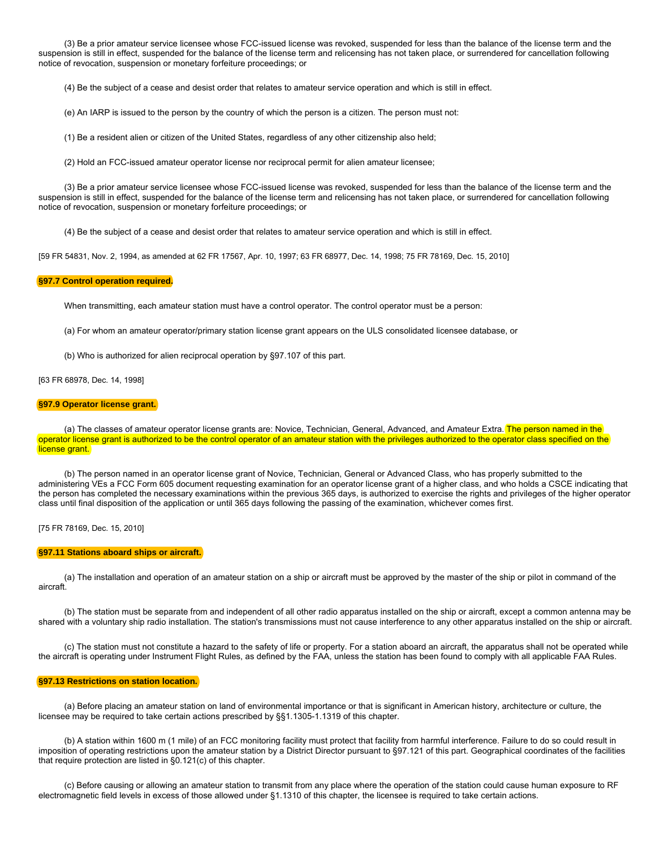(3) Be a prior amateur service licensee whose FCC-issued license was revoked, suspended for less than the balance of the license term and the suspension is still in effect, suspended for the balance of the license term and relicensing has not taken place, or surrendered for cancellation following notice of revocation, suspension or monetary forfeiture proceedings; or

(4) Be the subject of a cease and desist order that relates to amateur service operation and which is still in effect.

(e) An IARP is issued to the person by the country of which the person is a citizen. The person must not:

(1) Be a resident alien or citizen of the United States, regardless of any other citizenship also held;

(2) Hold an FCC-issued amateur operator license nor reciprocal permit for alien amateur licensee;

(3) Be a prior amateur service licensee whose FCC-issued license was revoked, suspended for less than the balance of the license term and the suspension is still in effect, suspended for the balance of the license term and relicensing has not taken place, or surrendered for cancellation following notice of revocation, suspension or monetary forfeiture proceedings; or

(4) Be the subject of a cease and desist order that relates to amateur service operation and which is still in effect.

[59 FR 54831, Nov. 2, 1994, as amended at 62 FR 17567, Apr. 10, 1997; 63 FR 68977, Dec. 14, 1998; 75 FR 78169, Dec. 15, 2010]

# **§97.7 Control operation required.**

When transmitting, each amateur station must have a control operator. The control operator must be a person:

(a) For whom an amateur operator/primary station license grant appears on the ULS consolidated licensee database, or

(b) Who is authorized for alien reciprocal operation by §97.107 of this part.

#### [63 FR 68978, Dec. 14, 1998]

# **§97.9 Operator license grant.**

(a) The classes of amateur operator license grants are: Novice, Technician, General, Advanced, and Amateur Extra. The person named in the operator license grant is authorized to be the control operator of an amateur station with the privileges authorized to the operator class specified on the license grant.

(b) The person named in an operator license grant of Novice, Technician, General or Advanced Class, who has properly submitted to the administering VEs a FCC Form 605 document requesting examination for an operator license grant of a higher class, and who holds a CSCE indicating that the person has completed the necessary examinations within the previous 365 days, is authorized to exercise the rights and privileges of the higher operator class until final disposition of the application or until 365 days following the passing of the examination, whichever comes first.

[75 FR 78169, Dec. 15, 2010]

# **§97.11 Stations aboard ships or aircraft.**

(a) The installation and operation of an amateur station on a ship or aircraft must be approved by the master of the ship or pilot in command of the aircraft.

(b) The station must be separate from and independent of all other radio apparatus installed on the ship or aircraft, except a common antenna may be shared with a voluntary ship radio installation. The station's transmissions must not cause interference to any other apparatus installed on the ship or aircraft.

(c) The station must not constitute a hazard to the safety of life or property. For a station aboard an aircraft, the apparatus shall not be operated while the aircraft is operating under Instrument Flight Rules, as defined by the FAA, unless the station has been found to comply with all applicable FAA Rules.

#### **§97.13 Restrictions on station location.**

(a) Before placing an amateur station on land of environmental importance or that is significant in American history, architecture or culture, the licensee may be required to take certain actions prescribed by §§1.1305-1.1319 of this chapter.

(b) A station within 1600 m (1 mile) of an FCC monitoring facility must protect that facility from harmful interference. Failure to do so could result in imposition of operating restrictions upon the amateur station by a District Director pursuant to §97.121 of this part. Geographical coordinates of the facilities that require protection are listed in §0.121(c) of this chapter.

(c) Before causing or allowing an amateur station to transmit from any place where the operation of the station could cause human exposure to RF electromagnetic field levels in excess of those allowed under §1.1310 of this chapter, the licensee is required to take certain actions.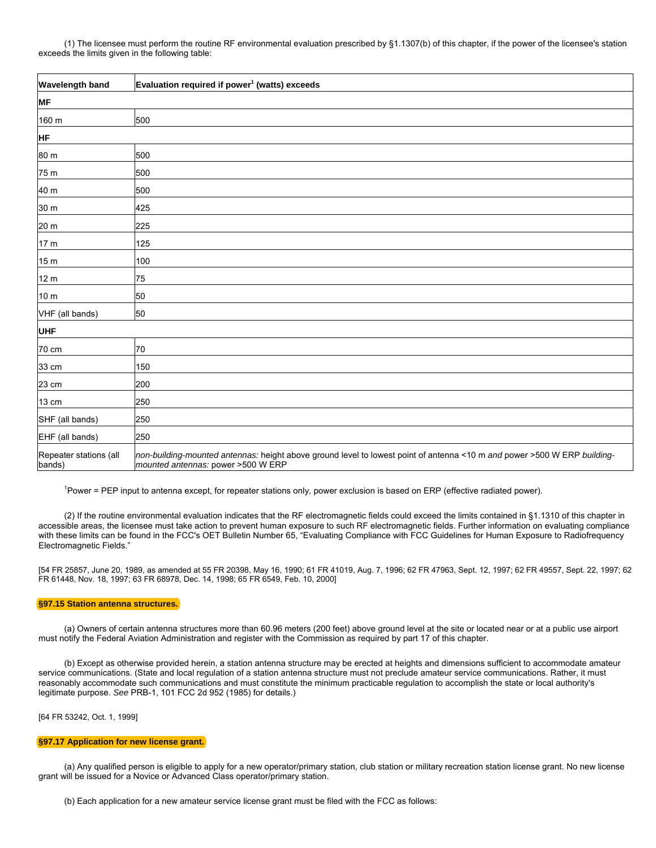(1) The licensee must perform the routine RF environmental evaluation prescribed by §1.1307(b) of this chapter, if the power of the licensee's station exceeds the limits given in the following table:

| <b>Wavelength band</b>           | Evaluation required if power <sup>1</sup> (watts) exceeds                                                                                                      |  |  |  |  |  |
|----------------------------------|----------------------------------------------------------------------------------------------------------------------------------------------------------------|--|--|--|--|--|
| <b>MF</b>                        |                                                                                                                                                                |  |  |  |  |  |
| 160 m                            | 500                                                                                                                                                            |  |  |  |  |  |
| <b>HF</b>                        |                                                                                                                                                                |  |  |  |  |  |
| 80 m                             | 500                                                                                                                                                            |  |  |  |  |  |
| 75 m                             | 500                                                                                                                                                            |  |  |  |  |  |
| 40 m                             | 500                                                                                                                                                            |  |  |  |  |  |
| 30 m                             | 425                                                                                                                                                            |  |  |  |  |  |
| 20 m                             | 225                                                                                                                                                            |  |  |  |  |  |
| 17 m                             | 125                                                                                                                                                            |  |  |  |  |  |
| 15 <sub>m</sub>                  | 100                                                                                                                                                            |  |  |  |  |  |
| 12 m                             | 75                                                                                                                                                             |  |  |  |  |  |
| 10 m                             | 50                                                                                                                                                             |  |  |  |  |  |
| VHF (all bands)                  | 50                                                                                                                                                             |  |  |  |  |  |
| <b>UHF</b>                       |                                                                                                                                                                |  |  |  |  |  |
| 70 cm                            | 70                                                                                                                                                             |  |  |  |  |  |
| 33 cm                            | 150                                                                                                                                                            |  |  |  |  |  |
| 23 cm                            | 200                                                                                                                                                            |  |  |  |  |  |
| 13 cm                            | 250                                                                                                                                                            |  |  |  |  |  |
| SHF (all bands)                  | 250                                                                                                                                                            |  |  |  |  |  |
| EHF (all bands)                  | 250                                                                                                                                                            |  |  |  |  |  |
| Repeater stations (all<br>bands) | non-building-mounted antennas: height above ground level to lowest point of antenna <10 m and power >500 W ERP building-<br>mounted antennas: power >500 W ERP |  |  |  |  |  |

1 Power = PEP input to antenna except, for repeater stations only, power exclusion is based on ERP (effective radiated power).

(2) If the routine environmental evaluation indicates that the RF electromagnetic fields could exceed the limits contained in §1.1310 of this chapter in accessible areas, the licensee must take action to prevent human exposure to such RF electromagnetic fields. Further information on evaluating compliance with these limits can be found in the FCC's OET Bulletin Number 65, "Evaluating Compliance with FCC Guidelines for Human Exposure to Radiofrequency Electromagnetic Fields."

[54 FR 25857, June 20, 1989, as amended at 55 FR 20398, May 16, 1990; 61 FR 41019, Aug. 7, 1996; 62 FR 47963, Sept. 12, 1997; 62 FR 49557, Sept. 22, 1997; 62 FR 61448, Nov. 18, 1997; 63 FR 68978, Dec. 14, 1998; 65 FR 6549, Feb. 10, 2000]

# **§97.15 Station antenna structures.**

(a) Owners of certain antenna structures more than 60.96 meters (200 feet) above ground level at the site or located near or at a public use airport must notify the Federal Aviation Administration and register with the Commission as required by part 17 of this chapter.

(b) Except as otherwise provided herein, a station antenna structure may be erected at heights and dimensions sufficient to accommodate amateur service communications. (State and local regulation of a station antenna structure must not preclude amateur service communications. Rather, it must reasonably accommodate such communications and must constitute the minimum practicable regulation to accomplish the state or local authority's legitimate purpose. *See* PRB-1, 101 FCC 2d 952 (1985) for details.)

[64 FR 53242, Oct. 1, 1999]

### **§97.17 Application for new license grant.**

(a) Any qualified person is eligible to apply for a new operator/primary station, club station or military recreation station license grant. No new license grant will be issued for a Novice or Advanced Class operator/primary station.

(b) Each application for a new amateur service license grant must be filed with the FCC as follows: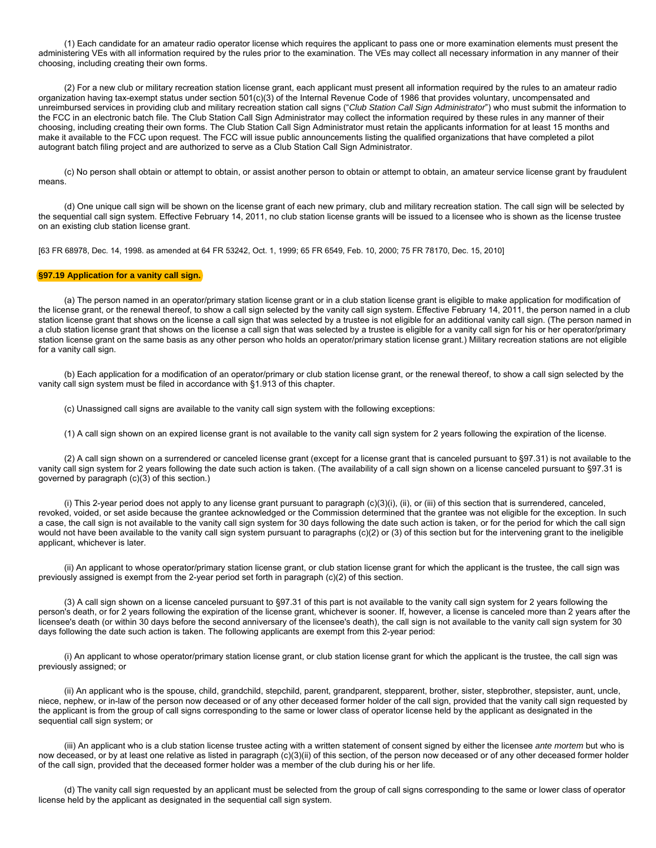(1) Each candidate for an amateur radio operator license which requires the applicant to pass one or more examination elements must present the administering VEs with all information required by the rules prior to the examination. The VEs may collect all necessary information in any manner of their choosing, including creating their own forms.

(2) For a new club or military recreation station license grant, each applicant must present all information required by the rules to an amateur radio organization having tax-exempt status under section 501(c)(3) of the Internal Revenue Code of 1986 that provides voluntary, uncompensated and unreimbursed services in providing club and military recreation station call signs ("*Club Station Call Sign Administrator*") who must submit the information to the FCC in an electronic batch file. The Club Station Call Sign Administrator may collect the information required by these rules in any manner of their choosing, including creating their own forms. The Club Station Call Sign Administrator must retain the applicants information for at least 15 months and make it available to the FCC upon request. The FCC will issue public announcements listing the qualified organizations that have completed a pilot autogrant batch filing project and are authorized to serve as a Club Station Call Sign Administrator.

(c) No person shall obtain or attempt to obtain, or assist another person to obtain or attempt to obtain, an amateur service license grant by fraudulent means.

(d) One unique call sign will be shown on the license grant of each new primary, club and military recreation station. The call sign will be selected by the sequential call sign system. Effective February 14, 2011, no club station license grants will be issued to a licensee who is shown as the license trustee on an existing club station license grant.

[63 FR 68978, Dec. 14, 1998. as amended at 64 FR 53242, Oct. 1, 1999; 65 FR 6549, Feb. 10, 2000; 75 FR 78170, Dec. 15, 2010]

# **§97.19 Application for a vanity call sign.**

(a) The person named in an operator/primary station license grant or in a club station license grant is eligible to make application for modification of the license grant, or the renewal thereof, to show a call sign selected by the vanity call sign system. Effective February 14, 2011, the person named in a club station license grant that shows on the license a call sign that was selected by a trustee is not eligible for an additional vanity call sign. (The person named in a club station license grant that shows on the license a call sign that was selected by a trustee is eligible for a vanity call sign for his or her operator/primary station license grant on the same basis as any other person who holds an operator/primary station license grant.) Military recreation stations are not eligible for a vanity call sign.

(b) Each application for a modification of an operator/primary or club station license grant, or the renewal thereof, to show a call sign selected by the vanity call sign system must be filed in accordance with §1.913 of this chapter.

(c) Unassigned call signs are available to the vanity call sign system with the following exceptions:

(1) A call sign shown on an expired license grant is not available to the vanity call sign system for 2 years following the expiration of the license.

(2) A call sign shown on a surrendered or canceled license grant (except for a license grant that is canceled pursuant to §97.31) is not available to the vanity call sign system for 2 years following the date such action is taken. (The availability of a call sign shown on a license canceled pursuant to §97.31 is governed by paragraph (c)(3) of this section.)

(i) This 2-year period does not apply to any license grant pursuant to paragraph (c)(3)(i), (ii), or (iii) of this section that is surrendered, canceled, revoked, voided, or set aside because the grantee acknowledged or the Commission determined that the grantee was not eligible for the exception. In such a case, the call sign is not available to the vanity call sign system for 30 days following the date such action is taken, or for the period for which the call sign would not have been available to the vanity call sign system pursuant to paragraphs (c)(2) or (3) of this section but for the intervening grant to the ineligible applicant, whichever is later.

(ii) An applicant to whose operator/primary station license grant, or club station license grant for which the applicant is the trustee, the call sign was previously assigned is exempt from the 2-year period set forth in paragraph (c)(2) of this section.

(3) A call sign shown on a license canceled pursuant to §97.31 of this part is not available to the vanity call sign system for 2 years following the person's death, or for 2 years following the expiration of the license grant, whichever is sooner. If, however, a license is canceled more than 2 years after the licensee's death (or within 30 days before the second anniversary of the licensee's death), the call sign is not available to the vanity call sign system for 30 days following the date such action is taken. The following applicants are exempt from this 2-year period:

(i) An applicant to whose operator/primary station license grant, or club station license grant for which the applicant is the trustee, the call sign was previously assigned; or

(ii) An applicant who is the spouse, child, grandchild, stepchild, parent, grandparent, stepparent, brother, sister, stepbrother, stepsister, aunt, uncle, niece, nephew, or in-law of the person now deceased or of any other deceased former holder of the call sign, provided that the vanity call sign requested by the applicant is from the group of call signs corresponding to the same or lower class of operator license held by the applicant as designated in the sequential call sign system; or

(iii) An applicant who is a club station license trustee acting with a written statement of consent signed by either the licensee *ante mortem* but who is now deceased, or by at least one relative as listed in paragraph (c)(3)(ii) of this section, of the person now deceased or of any other deceased former holder of the call sign, provided that the deceased former holder was a member of the club during his or her life.

(d) The vanity call sign requested by an applicant must be selected from the group of call signs corresponding to the same or lower class of operator license held by the applicant as designated in the sequential call sign system.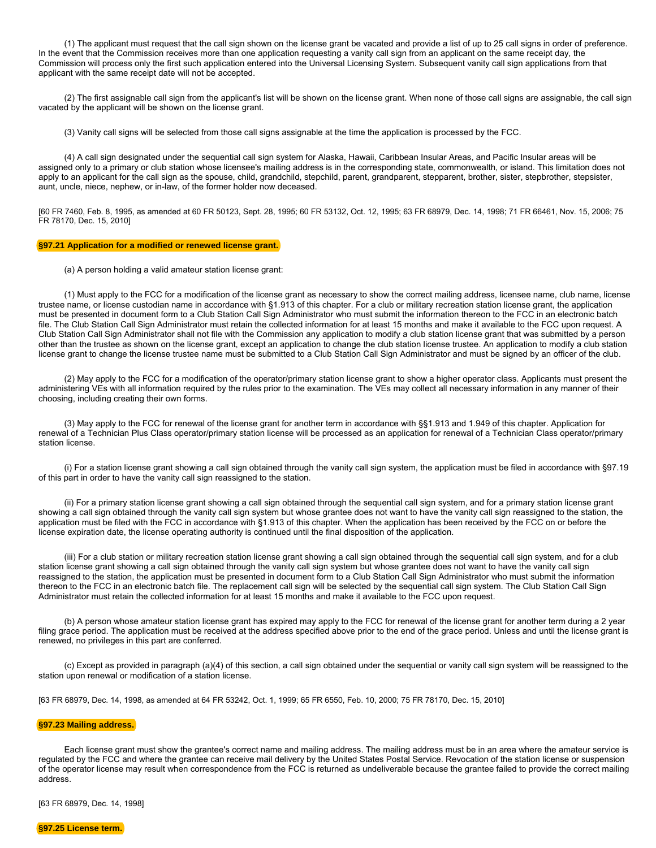(1) The applicant must request that the call sign shown on the license grant be vacated and provide a list of up to 25 call signs in order of preference. In the event that the Commission receives more than one application requesting a vanity call sign from an applicant on the same receipt day, the Commission will process only the first such application entered into the Universal Licensing System. Subsequent vanity call sign applications from that applicant with the same receipt date will not be accepted.

(2) The first assignable call sign from the applicant's list will be shown on the license grant. When none of those call signs are assignable, the call sign vacated by the applicant will be shown on the license grant.

(3) Vanity call signs will be selected from those call signs assignable at the time the application is processed by the FCC.

(4) A call sign designated under the sequential call sign system for Alaska, Hawaii, Caribbean Insular Areas, and Pacific Insular areas will be assigned only to a primary or club station whose licensee's mailing address is in the corresponding state, commonwealth, or island. This limitation does not apply to an applicant for the call sign as the spouse, child, grandchild, stepchild, parent, grandparent, stepparent, brother, sister, stepbrother, stepsister, aunt, uncle, niece, nephew, or in-law, of the former holder now deceased.

[60 FR 7460, Feb. 8, 1995, as amended at 60 FR 50123, Sept. 28, 1995; 60 FR 53132, Oct. 12, 1995; 63 FR 68979, Dec. 14, 1998; 71 FR 66461, Nov. 15, 2006; 75 FR 78170, Dec. 15, 2010]

### **§97.21 Application for a modified or renewed license grant.**

(a) A person holding a valid amateur station license grant:

(1) Must apply to the FCC for a modification of the license grant as necessary to show the correct mailing address, licensee name, club name, license trustee name, or license custodian name in accordance with §1.913 of this chapter. For a club or military recreation station license grant, the application must be presented in document form to a Club Station Call Sign Administrator who must submit the information thereon to the FCC in an electronic batch file. The Club Station Call Sign Administrator must retain the collected information for at least 15 months and make it available to the FCC upon request. A Club Station Call Sign Administrator shall not file with the Commission any application to modify a club station license grant that was submitted by a person other than the trustee as shown on the license grant, except an application to change the club station license trustee. An application to modify a club station license grant to change the license trustee name must be submitted to a Club Station Call Sign Administrator and must be signed by an officer of the club.

(2) May apply to the FCC for a modification of the operator/primary station license grant to show a higher operator class. Applicants must present the administering VEs with all information required by the rules prior to the examination. The VEs may collect all necessary information in any manner of their choosing, including creating their own forms.

(3) May apply to the FCC for renewal of the license grant for another term in accordance with §§1.913 and 1.949 of this chapter. Application for renewal of a Technician Plus Class operator/primary station license will be processed as an application for renewal of a Technician Class operator/primary station license.

(i) For a station license grant showing a call sign obtained through the vanity call sign system, the application must be filed in accordance with §97.19 of this part in order to have the vanity call sign reassigned to the station.

(ii) For a primary station license grant showing a call sign obtained through the sequential call sign system, and for a primary station license grant showing a call sign obtained through the vanity call sign system but whose grantee does not want to have the vanity call sign reassigned to the station, the application must be filed with the FCC in accordance with §1.913 of this chapter. When the application has been received by the FCC on or before the license expiration date, the license operating authority is continued until the final disposition of the application.

(iii) For a club station or military recreation station license grant showing a call sign obtained through the sequential call sign system, and for a club station license grant showing a call sign obtained through the vanity call sign system but whose grantee does not want to have the vanity call sign reassigned to the station, the application must be presented in document form to a Club Station Call Sign Administrator who must submit the information thereon to the FCC in an electronic batch file. The replacement call sign will be selected by the sequential call sign system. The Club Station Call Sign Administrator must retain the collected information for at least 15 months and make it available to the FCC upon request.

(b) A person whose amateur station license grant has expired may apply to the FCC for renewal of the license grant for another term during a 2 year filing grace period. The application must be received at the address specified above prior to the end of the grace period. Unless and until the license grant is renewed, no privileges in this part are conferred.

(c) Except as provided in paragraph (a)(4) of this section, a call sign obtained under the sequential or vanity call sign system will be reassigned to the station upon renewal or modification of a station license.

[63 FR 68979, Dec. 14, 1998, as amended at 64 FR 53242, Oct. 1, 1999; 65 FR 6550, Feb. 10, 2000; 75 FR 78170, Dec. 15, 2010]

#### **§97.23 Mailing address.**

Each license grant must show the grantee's correct name and mailing address. The mailing address must be in an area where the amateur service is regulated by the FCC and where the grantee can receive mail delivery by the United States Postal Service. Revocation of the station license or suspension of the operator license may result when correspondence from the FCC is returned as undeliverable because the grantee failed to provide the correct mailing address.

[63 FR 68979, Dec. 14, 1998]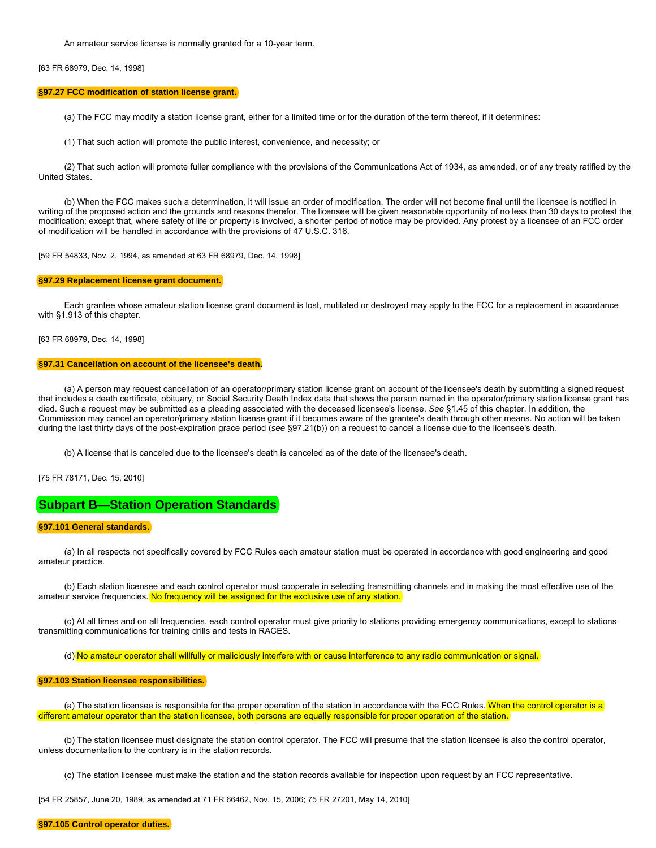An amateur service license is normally granted for a 10-year term.

[63 FR 68979, Dec. 14, 1998]

### **§97.27 FCC modification of station license grant.**

(a) The FCC may modify a station license grant, either for a limited time or for the duration of the term thereof, if it determines:

(1) That such action will promote the public interest, convenience, and necessity; or

(2) That such action will promote fuller compliance with the provisions of the Communications Act of 1934, as amended, or of any treaty ratified by the United States.

(b) When the FCC makes such a determination, it will issue an order of modification. The order will not become final until the licensee is notified in writing of the proposed action and the grounds and reasons therefor. The licensee will be given reasonable opportunity of no less than 30 days to protest the modification; except that, where safety of life or property is involved, a shorter period of notice may be provided. Any protest by a licensee of an FCC order of modification will be handled in accordance with the provisions of 47 U.S.C. 316.

[59 FR 54833, Nov. 2, 1994, as amended at 63 FR 68979, Dec. 14, 1998]

#### **§97.29 Replacement license grant document.**

Each grantee whose amateur station license grant document is lost, mutilated or destroyed may apply to the FCC for a replacement in accordance with §1.913 of this chapter.

[63 FR 68979, Dec. 14, 1998]

#### **§97.31 Cancellation on account of the licensee's death.**

(a) A person may request cancellation of an operator/primary station license grant on account of the licensee's death by submitting a signed request that includes a death certificate, obituary, or Social Security Death Index data that shows the person named in the operator/primary station license grant has died. Such a request may be submitted as a pleading associated with the deceased licensee's license. *See* §1.45 of this chapter. In addition, the Commission may cancel an operator/primary station license grant if it becomes aware of the grantee's death through other means. No action will be taken during the last thirty days of the post-expiration grace period (*see* §97.21(b)) on a request to cancel a license due to the licensee's death.

(b) A license that is canceled due to the licensee's death is canceled as of the date of the licensee's death.

[75 FR 78171, Dec. 15, 2010]

# **Subpart B—Station Operation Standards**

#### **§97.101 General standards.**

(a) In all respects not specifically covered by FCC Rules each amateur station must be operated in accordance with good engineering and good amateur practice.

(b) Each station licensee and each control operator must cooperate in selecting transmitting channels and in making the most effective use of the amateur service frequencies. No frequency will be assigned for the exclusive use of any station.

(c) At all times and on all frequencies, each control operator must give priority to stations providing emergency communications, except to stations transmitting communications for training drills and tests in RACES.

(d) No amateur operator shall willfully or maliciously interfere with or cause interference to any radio communication or signal.

#### **§97.103 Station licensee responsibilities.**

(a) The station licensee is responsible for the proper operation of the station in accordance with the FCC Rules. When the control operator is a different amateur operator than the station licensee, both persons are equally responsible for proper operation of the station.

(b) The station licensee must designate the station control operator. The FCC will presume that the station licensee is also the control operator, unless documentation to the contrary is in the station records.

(c) The station licensee must make the station and the station records available for inspection upon request by an FCC representative.

[54 FR 25857, June 20, 1989, as amended at 71 FR 66462, Nov. 15, 2006; 75 FR 27201, May 14, 2010]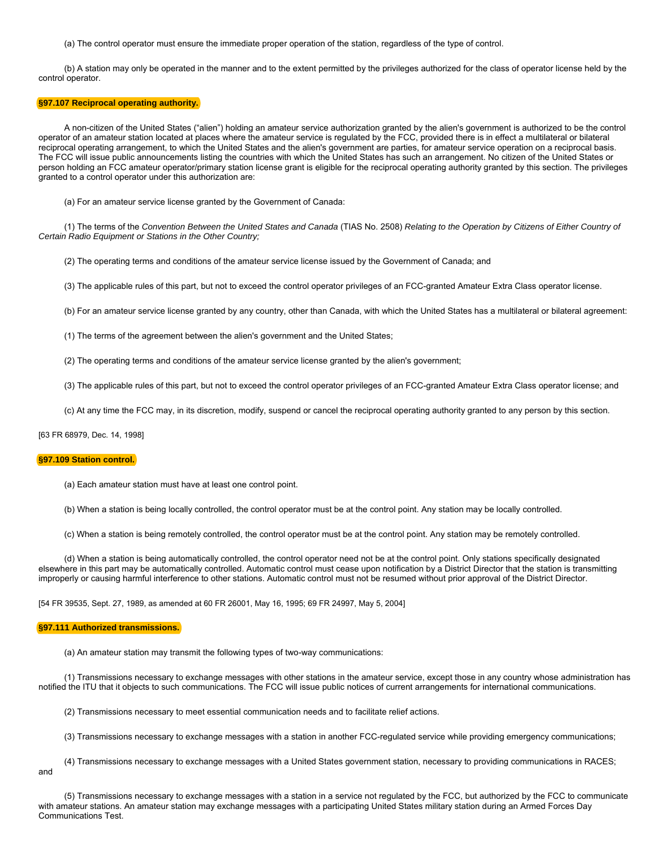(a) The control operator must ensure the immediate proper operation of the station, regardless of the type of control.

(b) A station may only be operated in the manner and to the extent permitted by the privileges authorized for the class of operator license held by the control operator.

## **§97.107 Reciprocal operating authority.**

A non-citizen of the United States ("alien") holding an amateur service authorization granted by the alien's government is authorized to be the control operator of an amateur station located at places where the amateur service is regulated by the FCC, provided there is in effect a multilateral or bilateral reciprocal operating arrangement, to which the United States and the alien's government are parties, for amateur service operation on a reciprocal basis. The FCC will issue public announcements listing the countries with which the United States has such an arrangement. No citizen of the United States or person holding an FCC amateur operator/primary station license grant is eligible for the reciprocal operating authority granted by this section. The privileges granted to a control operator under this authorization are:

(a) For an amateur service license granted by the Government of Canada:

(1) The terms of the *Convention Between the United States and Canada* (TIAS No. 2508) *Relating to the Operation by Citizens of Either Country of Certain Radio Equipment or Stations in the Other Country;*

(2) The operating terms and conditions of the amateur service license issued by the Government of Canada; and

(3) The applicable rules of this part, but not to exceed the control operator privileges of an FCC-granted Amateur Extra Class operator license.

(b) For an amateur service license granted by any country, other than Canada, with which the United States has a multilateral or bilateral agreement:

(1) The terms of the agreement between the alien's government and the United States;

(2) The operating terms and conditions of the amateur service license granted by the alien's government;

(3) The applicable rules of this part, but not to exceed the control operator privileges of an FCC-granted Amateur Extra Class operator license; and

(c) At any time the FCC may, in its discretion, modify, suspend or cancel the reciprocal operating authority granted to any person by this section.

# [63 FR 68979, Dec. 14, 1998]

#### **§97.109 Station control.**

(a) Each amateur station must have at least one control point.

(b) When a station is being locally controlled, the control operator must be at the control point. Any station may be locally controlled.

(c) When a station is being remotely controlled, the control operator must be at the control point. Any station may be remotely controlled.

(d) When a station is being automatically controlled, the control operator need not be at the control point. Only stations specifically designated elsewhere in this part may be automatically controlled. Automatic control must cease upon notification by a District Director that the station is transmitting improperly or causing harmful interference to other stations. Automatic control must not be resumed without prior approval of the District Director.

[54 FR 39535, Sept. 27, 1989, as amended at 60 FR 26001, May 16, 1995; 69 FR 24997, May 5, 2004]

#### **§97.111 Authorized transmissions.**

(a) An amateur station may transmit the following types of two-way communications:

(1) Transmissions necessary to exchange messages with other stations in the amateur service, except those in any country whose administration has notified the ITU that it objects to such communications. The FCC will issue public notices of current arrangements for international communications.

(2) Transmissions necessary to meet essential communication needs and to facilitate relief actions.

(3) Transmissions necessary to exchange messages with a station in another FCC-regulated service while providing emergency communications;

(4) Transmissions necessary to exchange messages with a United States government station, necessary to providing communications in RACES; and

(5) Transmissions necessary to exchange messages with a station in a service not regulated by the FCC, but authorized by the FCC to communicate with amateur stations. An amateur station may exchange messages with a participating United States military station during an Armed Forces Day Communications Test.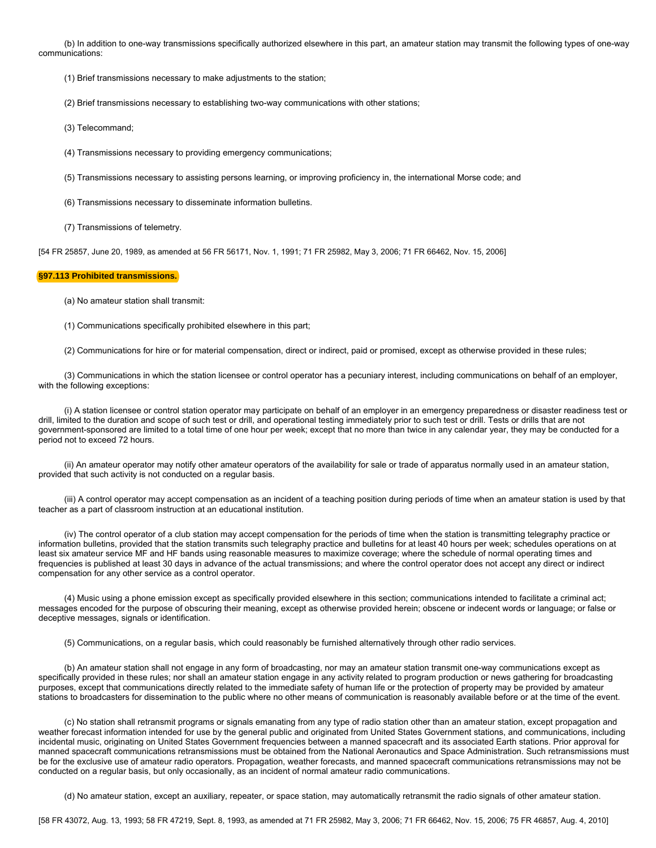(b) In addition to one-way transmissions specifically authorized elsewhere in this part, an amateur station may transmit the following types of one-way communications:

(1) Brief transmissions necessary to make adjustments to the station;

(2) Brief transmissions necessary to establishing two-way communications with other stations;

(3) Telecommand;

(4) Transmissions necessary to providing emergency communications;

(5) Transmissions necessary to assisting persons learning, or improving proficiency in, the international Morse code; and

(6) Transmissions necessary to disseminate information bulletins.

(7) Transmissions of telemetry.

[54 FR 25857, June 20, 1989, as amended at 56 FR 56171, Nov. 1, 1991; 71 FR 25982, May 3, 2006; 71 FR 66462, Nov. 15, 2006]

#### **§97.113 Prohibited transmissions.**

(a) No amateur station shall transmit:

(1) Communications specifically prohibited elsewhere in this part;

(2) Communications for hire or for material compensation, direct or indirect, paid or promised, except as otherwise provided in these rules;

(3) Communications in which the station licensee or control operator has a pecuniary interest, including communications on behalf of an employer, with the following exceptions:

(i) A station licensee or control station operator may participate on behalf of an employer in an emergency preparedness or disaster readiness test or drill, limited to the duration and scope of such test or drill, and operational testing immediately prior to such test or drill. Tests or drills that are not government-sponsored are limited to a total time of one hour per week; except that no more than twice in any calendar year, they may be conducted for a period not to exceed 72 hours.

(ii) An amateur operator may notify other amateur operators of the availability for sale or trade of apparatus normally used in an amateur station, provided that such activity is not conducted on a regular basis.

(iii) A control operator may accept compensation as an incident of a teaching position during periods of time when an amateur station is used by that teacher as a part of classroom instruction at an educational institution.

(iv) The control operator of a club station may accept compensation for the periods of time when the station is transmitting telegraphy practice or information bulletins, provided that the station transmits such telegraphy practice and bulletins for at least 40 hours per week; schedules operations on at least six amateur service MF and HF bands using reasonable measures to maximize coverage; where the schedule of normal operating times and frequencies is published at least 30 days in advance of the actual transmissions; and where the control operator does not accept any direct or indirect compensation for any other service as a control operator.

(4) Music using a phone emission except as specifically provided elsewhere in this section; communications intended to facilitate a criminal act; messages encoded for the purpose of obscuring their meaning, except as otherwise provided herein; obscene or indecent words or language; or false or deceptive messages, signals or identification.

(5) Communications, on a regular basis, which could reasonably be furnished alternatively through other radio services.

(b) An amateur station shall not engage in any form of broadcasting, nor may an amateur station transmit one-way communications except as specifically provided in these rules; nor shall an amateur station engage in any activity related to program production or news gathering for broadcasting purposes, except that communications directly related to the immediate safety of human life or the protection of property may be provided by amateur stations to broadcasters for dissemination to the public where no other means of communication is reasonably available before or at the time of the event.

(c) No station shall retransmit programs or signals emanating from any type of radio station other than an amateur station, except propagation and weather forecast information intended for use by the general public and originated from United States Government stations, and communications, including incidental music, originating on United States Government frequencies between a manned spacecraft and its associated Earth stations. Prior approval for manned spacecraft communications retransmissions must be obtained from the National Aeronautics and Space Administration. Such retransmissions must be for the exclusive use of amateur radio operators. Propagation, weather forecasts, and manned spacecraft communications retransmissions may not be conducted on a regular basis, but only occasionally, as an incident of normal amateur radio communications.

(d) No amateur station, except an auxiliary, repeater, or space station, may automatically retransmit the radio signals of other amateur station.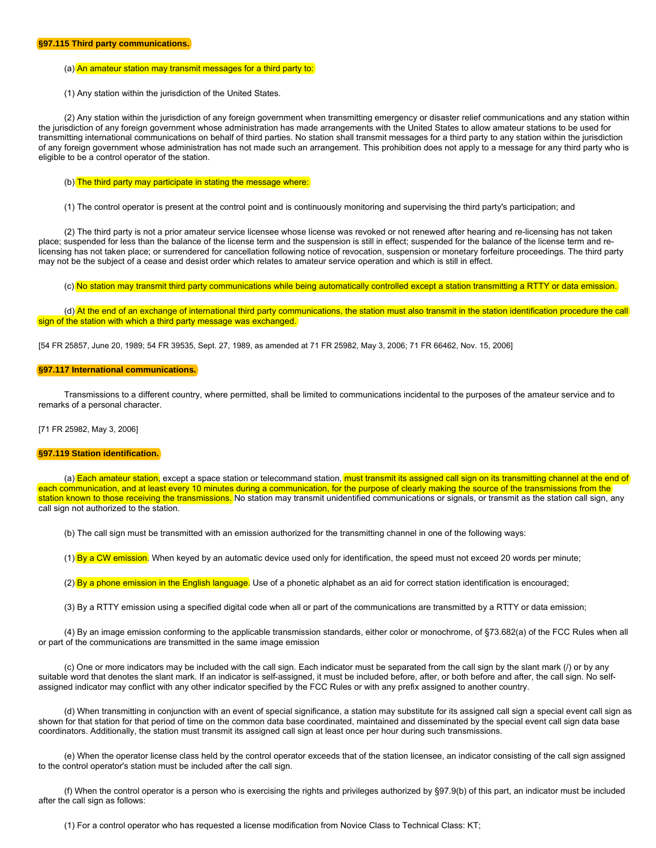#### (a) An amateur station may transmit messages for a third party to:

(1) Any station within the jurisdiction of the United States.

(2) Any station within the jurisdiction of any foreign government when transmitting emergency or disaster relief communications and any station within the jurisdiction of any foreign government whose administration has made arrangements with the United States to allow amateur stations to be used for transmitting international communications on behalf of third parties. No station shall transmit messages for a third party to any station within the jurisdiction of any foreign government whose administration has not made such an arrangement. This prohibition does not apply to a message for any third party who is eligible to be a control operator of the station.

#### (b) The third party may participate in stating the message where:

(1) The control operator is present at the control point and is continuously monitoring and supervising the third party's participation; and

(2) The third party is not a prior amateur service licensee whose license was revoked or not renewed after hearing and re-licensing has not taken place; suspended for less than the balance of the license term and the suspension is still in effect; suspended for the balance of the license term and relicensing has not taken place; or surrendered for cancellation following notice of revocation, suspension or monetary forfeiture proceedings. The third party may not be the subject of a cease and desist order which relates to amateur service operation and which is still in effect.

(c) No station may transmit third party communications while being automatically controlled except a station transmitting a RTTY or data emission.

(d) At the end of an exchange of international third party communications, the station must also transmit in the station identification procedure the call sign of the station with which a third party message was exchanged.

[54 FR 25857, June 20, 1989; 54 FR 39535, Sept. 27, 1989, as amended at 71 FR 25982, May 3, 2006; 71 FR 66462, Nov. 15, 2006]

#### **§97.117 International communications.**

Transmissions to a different country, where permitted, shall be limited to communications incidental to the purposes of the amateur service and to remarks of a personal character.

[71 FR 25982, May 3, 2006]

#### **§97.119 Station identification.**

(a) Each amateur station, except a space station or telecommand station, must transmit its assigned call sign on its transmitting channel at the end of each communication, and at least every 10 minutes during a communication, for the purpose of clearly making the source of the transmissions from the station known to those receiving the transmissions. No station may transmit unidentified communications or signals, or transmit as the station call sign, any call sign not authorized to the station.

(b) The call sign must be transmitted with an emission authorized for the transmitting channel in one of the following ways:

(1) By a CW emission. When keyed by an automatic device used only for identification, the speed must not exceed 20 words per minute;

(2) By a phone emission in the English language. Use of a phonetic alphabet as an aid for correct station identification is encouraged;

(3) By a RTTY emission using a specified digital code when all or part of the communications are transmitted by a RTTY or data emission;

(4) By an image emission conforming to the applicable transmission standards, either color or monochrome, of §73.682(a) of the FCC Rules when all or part of the communications are transmitted in the same image emission

(c) One or more indicators may be included with the call sign. Each indicator must be separated from the call sign by the slant mark (/) or by any suitable word that denotes the slant mark. If an indicator is self-assigned, it must be included before, after, or both before and after, the call sign. No selfassigned indicator may conflict with any other indicator specified by the FCC Rules or with any prefix assigned to another country.

(d) When transmitting in conjunction with an event of special significance, a station may substitute for its assigned call sign a special event call sign as shown for that station for that period of time on the common data base coordinated, maintained and disseminated by the special event call sign data base coordinators. Additionally, the station must transmit its assigned call sign at least once per hour during such transmissions.

(e) When the operator license class held by the control operator exceeds that of the station licensee, an indicator consisting of the call sign assigned to the control operator's station must be included after the call sign.

(f) When the control operator is a person who is exercising the rights and privileges authorized by §97.9(b) of this part, an indicator must be included after the call sign as follows:

(1) For a control operator who has requested a license modification from Novice Class to Technical Class: KT;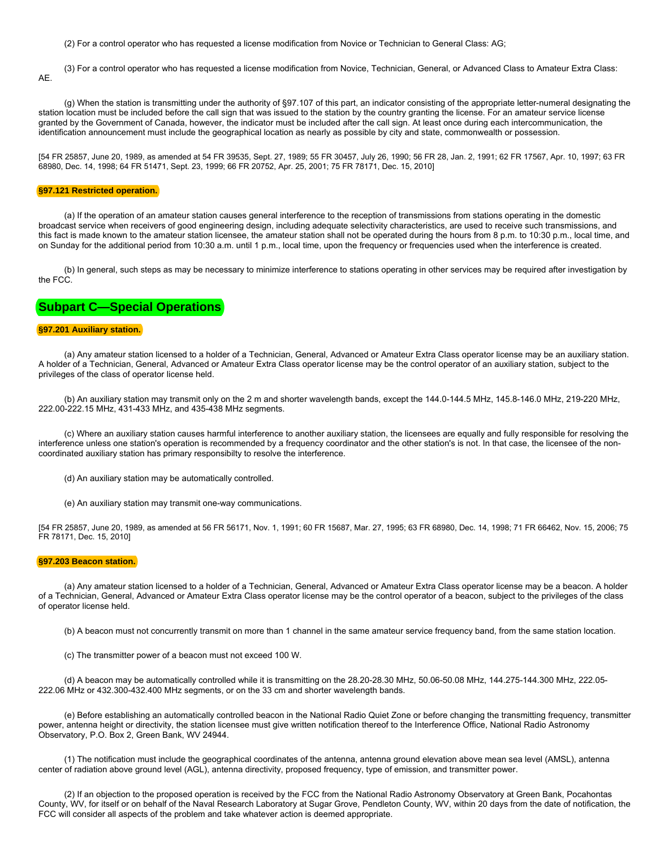(2) For a control operator who has requested a license modification from Novice or Technician to General Class: AG;

(3) For a control operator who has requested a license modification from Novice, Technician, General, or Advanced Class to Amateur Extra Class: AE.

(g) When the station is transmitting under the authority of §97.107 of this part, an indicator consisting of the appropriate letter-numeral designating the station location must be included before the call sign that was issued to the station by the country granting the license. For an amateur service license granted by the Government of Canada, however, the indicator must be included after the call sign. At least once during each intercommunication, the identification announcement must include the geographical location as nearly as possible by city and state, commonwealth or possession.

[54 FR 25857, June 20, 1989, as amended at 54 FR 39535, Sept. 27, 1989; 55 FR 30457, July 26, 1990; 56 FR 28, Jan. 2, 1991; 62 FR 17567, Apr. 10, 1997; 63 FR 68980, Dec. 14, 1998; 64 FR 51471, Sept. 23, 1999; 66 FR 20752, Apr. 25, 2001; 75 FR 78171, Dec. 15, 2010]

#### **§97.121 Restricted operation.**

(a) If the operation of an amateur station causes general interference to the reception of transmissions from stations operating in the domestic broadcast service when receivers of good engineering design, including adequate selectivity characteristics, are used to receive such transmissions, and this fact is made known to the amateur station licensee, the amateur station shall not be operated during the hours from 8 p.m. to 10:30 p.m., local time, and on Sunday for the additional period from 10:30 a.m. until 1 p.m., local time, upon the frequency or frequencies used when the interference is created.

(b) In general, such steps as may be necessary to minimize interference to stations operating in other services may be required after investigation by the FCC.

# **Subpart C—Special Operations**

# **§97.201 Auxiliary station.**

(a) Any amateur station licensed to a holder of a Technician, General, Advanced or Amateur Extra Class operator license may be an auxiliary station. A holder of a Technician, General, Advanced or Amateur Extra Class operator license may be the control operator of an auxiliary station, subject to the privileges of the class of operator license held.

(b) An auxiliary station may transmit only on the 2 m and shorter wavelength bands, except the 144.0-144.5 MHz, 145.8-146.0 MHz, 219-220 MHz, 222.00-222.15 MHz, 431-433 MHz, and 435-438 MHz segments.

(c) Where an auxiliary station causes harmful interference to another auxiliary station, the licensees are equally and fully responsible for resolving the interference unless one station's operation is recommended by a frequency coordinator and the other station's is not. In that case, the licensee of the noncoordinated auxiliary station has primary responsibilty to resolve the interference.

- (d) An auxiliary station may be automatically controlled.
- (e) An auxiliary station may transmit one-way communications.

[54 FR 25857, June 20, 1989, as amended at 56 FR 56171, Nov. 1, 1991; 60 FR 15687, Mar. 27, 1995; 63 FR 68980, Dec. 14, 1998; 71 FR 66462, Nov. 15, 2006; 75 FR 78171, Dec. 15, 2010]

#### **§97.203 Beacon station.**

(a) Any amateur station licensed to a holder of a Technician, General, Advanced or Amateur Extra Class operator license may be a beacon. A holder of a Technician, General, Advanced or Amateur Extra Class operator license may be the control operator of a beacon, subject to the privileges of the class of operator license held.

(b) A beacon must not concurrently transmit on more than 1 channel in the same amateur service frequency band, from the same station location.

(c) The transmitter power of a beacon must not exceed 100 W.

(d) A beacon may be automatically controlled while it is transmitting on the 28.20-28.30 MHz, 50.06-50.08 MHz, 144.275-144.300 MHz, 222.05- 222.06 MHz or 432.300-432.400 MHz segments, or on the 33 cm and shorter wavelength bands.

(e) Before establishing an automatically controlled beacon in the National Radio Quiet Zone or before changing the transmitting frequency, transmitter power, antenna height or directivity, the station licensee must give written notification thereof to the Interference Office, National Radio Astronomy Observatory, P.O. Box 2, Green Bank, WV 24944.

(1) The notification must include the geographical coordinates of the antenna, antenna ground elevation above mean sea level (AMSL), antenna center of radiation above ground level (AGL), antenna directivity, proposed frequency, type of emission, and transmitter power.

(2) If an objection to the proposed operation is received by the FCC from the National Radio Astronomy Observatory at Green Bank, Pocahontas County, WV, for itself or on behalf of the Naval Research Laboratory at Sugar Grove, Pendleton County, WV, within 20 days from the date of notification, the FCC will consider all aspects of the problem and take whatever action is deemed appropriate.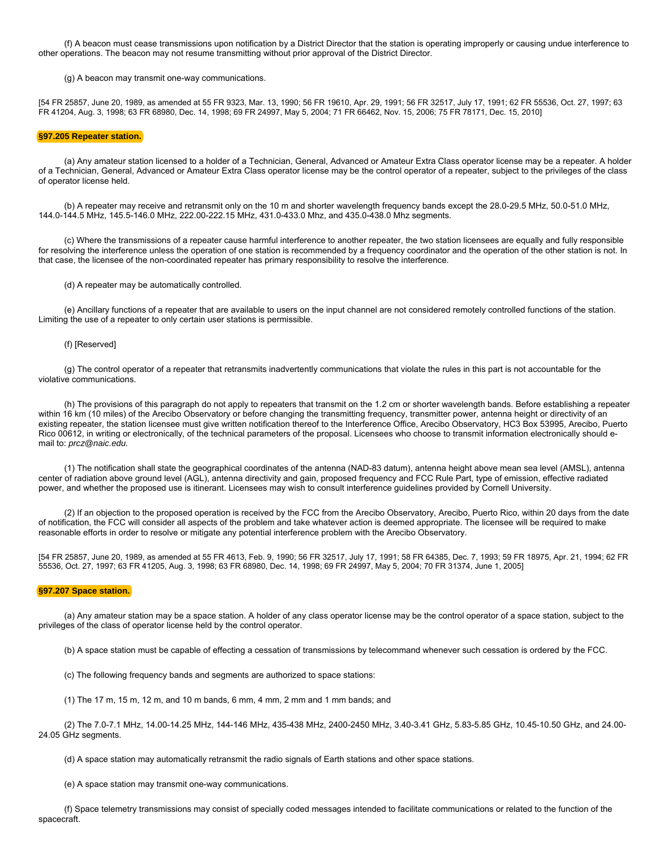(f) A beacon must cease transmissions upon notification by a District Director that the station is operating improperly or causing undue interference to other operations. The beacon may not resume transmitting without prior approval of the District Director.

(g) A beacon may transmit one-way communications.

[54 FR 25857, June 20, 1989, as amended at 55 FR 9323, Mar. 13, 1990; 56 FR 19610, Apr. 29, 1991; 56 FR 32517, July 17, 1991; 62 FR 55536, Oct. 27, 1997; 63 FR 41204, Aug. 3, 1998; 63 FR 68980, Dec. 14, 1998; 69 FR 24997, May 5, 2004; 71 FR 66462, Nov. 15, 2006; 75 FR 78171, Dec. 15, 2010]

#### **§97.205 Repeater station.**

(a) Any amateur station licensed to a holder of a Technician, General, Advanced or Amateur Extra Class operator license may be a repeater. A holder of a Technician, General, Advanced or Amateur Extra Class operator license may be the control operator of a repeater, subject to the privileges of the class of operator license held.

(b) A repeater may receive and retransmit only on the 10 m and shorter wavelength frequency bands except the 28.0-29.5 MHz, 50.0-51.0 MHz, 144.0-144.5 MHz, 145.5-146.0 MHz, 222.00-222.15 MHz, 431.0-433.0 Mhz, and 435.0-438.0 Mhz segments.

(c) Where the transmissions of a repeater cause harmful interference to another repeater, the two station licensees are equally and fully responsible for resolving the interference unless the operation of one station is recommended by a frequency coordinator and the operation of the other station is not. In that case, the licensee of the non-coordinated repeater has primary responsibility to resolve the interference.

#### (d) A repeater may be automatically controlled.

(e) Ancillary functions of a repeater that are available to users on the input channel are not considered remotely controlled functions of the station. Limiting the use of a repeater to only certain user stations is permissible.

#### (f) [Reserved]

(g) The control operator of a repeater that retransmits inadvertently communications that violate the rules in this part is not accountable for the violative communications.

(h) The provisions of this paragraph do not apply to repeaters that transmit on the 1.2 cm or shorter wavelength bands. Before establishing a repeater within 16 km (10 miles) of the Arecibo Observatory or before changing the transmitting frequency, transmitter power, antenna height or directivity of an existing repeater, the station licensee must give written notification thereof to the Interference Office, Arecibo Observatory, HC3 Box 53995, Arecibo, Puerto Rico 00612, in writing or electronically, of the technical parameters of the proposal. Licensees who choose to transmit information electronically should email to: *prcz@naic.edu.*

(1) The notification shall state the geographical coordinates of the antenna (NAD-83 datum), antenna height above mean sea level (AMSL), antenna center of radiation above ground level (AGL), antenna directivity and gain, proposed frequency and FCC Rule Part, type of emission, effective radiated power, and whether the proposed use is itinerant. Licensees may wish to consult interference guidelines provided by Cornell University.

(2) If an objection to the proposed operation is received by the FCC from the Arecibo Observatory, Arecibo, Puerto Rico, within 20 days from the date of notification, the FCC will consider all aspects of the problem and take whatever action is deemed appropriate. The licensee will be required to make reasonable efforts in order to resolve or mitigate any potential interference problem with the Arecibo Observatory.

[54 FR 25857, June 20, 1989, as amended at 55 FR 4613, Feb. 9, 1990; 56 FR 32517, July 17, 1991; 58 FR 64385, Dec. 7, 1993; 59 FR 18975, Apr. 21, 1994; 62 FR 55536, Oct. 27, 1997; 63 FR 41205, Aug. 3, 1998; 63 FR 68980, Dec. 14, 1998; 69 FR 24997, May 5, 2004; 70 FR 31374, June 1, 2005]

# **§97.207 Space station.**

(a) Any amateur station may be a space station. A holder of any class operator license may be the control operator of a space station, subject to the privileges of the class of operator license held by the control operator.

(b) A space station must be capable of effecting a cessation of transmissions by telecommand whenever such cessation is ordered by the FCC.

(c) The following frequency bands and segments are authorized to space stations:

(1) The 17 m, 15 m, 12 m, and 10 m bands, 6 mm, 4 mm, 2 mm and 1 mm bands; and

(2) The 7.0-7.1 MHz, 14.00-14.25 MHz, 144-146 MHz, 435-438 MHz, 2400-2450 MHz, 3.40-3.41 GHz, 5.83-5.85 GHz, 10.45-10.50 GHz, and 24.00- 24.05 GHz segments.

(d) A space station may automatically retransmit the radio signals of Earth stations and other space stations.

(e) A space station may transmit one-way communications.

(f) Space telemetry transmissions may consist of specially coded messages intended to facilitate communications or related to the function of the spacecraft.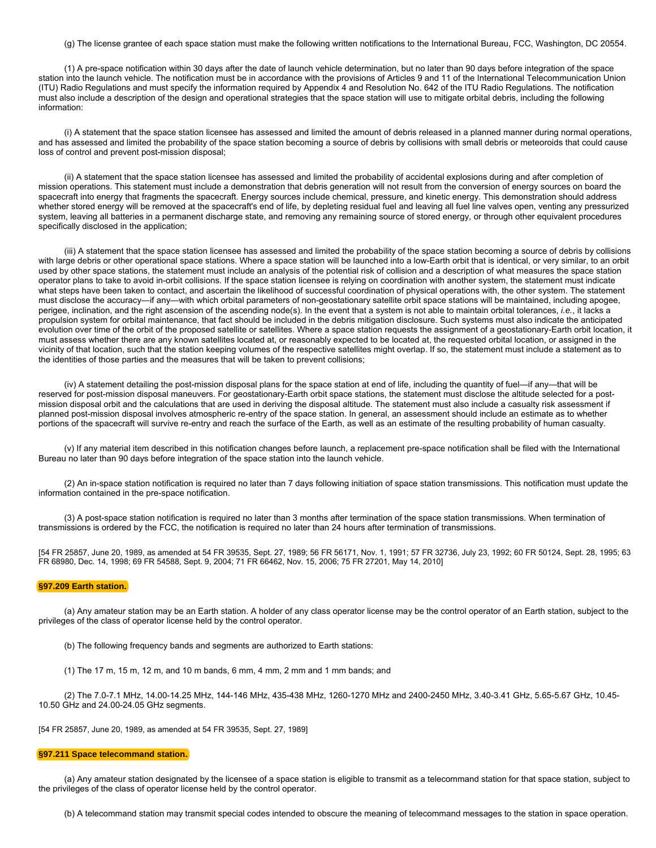#### (g) The license grantee of each space station must make the following written notifications to the International Bureau, FCC, Washington, DC 20554.

(1) A pre-space notification within 30 days after the date of launch vehicle determination, but no later than 90 days before integration of the space station into the launch vehicle. The notification must be in accordance with the provisions of Articles 9 and 11 of the International Telecommunication Union (ITU) Radio Regulations and must specify the information required by Appendix 4 and Resolution No. 642 of the ITU Radio Regulations. The notification must also include a description of the design and operational strategies that the space station will use to mitigate orbital debris, including the following information:

(i) A statement that the space station licensee has assessed and limited the amount of debris released in a planned manner during normal operations, and has assessed and limited the probability of the space station becoming a source of debris by collisions with small debris or meteoroids that could cause loss of control and prevent post-mission disposal;

(ii) A statement that the space station licensee has assessed and limited the probability of accidental explosions during and after completion of mission operations. This statement must include a demonstration that debris generation will not result from the conversion of energy sources on board the spacecraft into energy that fragments the spacecraft. Energy sources include chemical, pressure, and kinetic energy. This demonstration should address whether stored energy will be removed at the spacecraft's end of life, by depleting residual fuel and leaving all fuel line valves open, venting any pressurized system, leaving all batteries in a permanent discharge state, and removing any remaining source of stored energy, or through other equivalent procedures specifically disclosed in the application;

(iii) A statement that the space station licensee has assessed and limited the probability of the space station becoming a source of debris by collisions with large debris or other operational space stations. Where a space station will be launched into a low-Earth orbit that is identical, or very similar, to an orbit used by other space stations, the statement must include an analysis of the potential risk of collision and a description of what measures the space station operator plans to take to avoid in-orbit collisions. If the space station licensee is relying on coordination with another system, the statement must indicate what steps have been taken to contact, and ascertain the likelihood of successful coordination of physical operations with, the other system. The statement must disclose the accuracy—if any—with which orbital parameters of non-geostationary satellite orbit space stations will be maintained, including apogee, perigee, inclination, and the right ascension of the ascending node(s). In the event that a system is not able to maintain orbital tolerances, *i.e.*, it lacks a propulsion system for orbital maintenance, that fact should be included in the debris mitigation disclosure. Such systems must also indicate the anticipated evolution over time of the orbit of the proposed satellite or satellites. Where a space station requests the assignment of a geostationary-Earth orbit location, it must assess whether there are any known satellites located at, or reasonably expected to be located at, the requested orbital location, or assigned in the vicinity of that location, such that the station keeping volumes of the respective satellites might overlap. If so, the statement must include a statement as to the identities of those parties and the measures that will be taken to prevent collisions;

(iv) A statement detailing the post-mission disposal plans for the space station at end of life, including the quantity of fuel—if any—that will be reserved for post-mission disposal maneuvers. For geostationary-Earth orbit space stations, the statement must disclose the altitude selected for a postmission disposal orbit and the calculations that are used in deriving the disposal altitude. The statement must also include a casualty risk assessment if planned post-mission disposal involves atmospheric re-entry of the space station. In general, an assessment should include an estimate as to whether portions of the spacecraft will survive re-entry and reach the surface of the Earth, as well as an estimate of the resulting probability of human casualty.

(v) If any material item described in this notification changes before launch, a replacement pre-space notification shall be filed with the International Bureau no later than 90 days before integration of the space station into the launch vehicle.

(2) An in-space station notification is required no later than 7 days following initiation of space station transmissions. This notification must update the information contained in the pre-space notification.

(3) A post-space station notification is required no later than 3 months after termination of the space station transmissions. When termination of transmissions is ordered by the FCC, the notification is required no later than 24 hours after termination of transmissions.

[54 FR 25857, June 20, 1989, as amended at 54 FR 39535, Sept. 27, 1989; 56 FR 56171, Nov. 1, 1991; 57 FR 32736, July 23, 1992; 60 FR 50124, Sept. 28, 1995; 63 FR 68980, Dec. 14, 1998; 69 FR 54588, Sept. 9, 2004; 71 FR 66462, Nov. 15, 2006; 75 FR 27201, May 14, 2010]

#### **§97.209 Earth station.**

(a) Any amateur station may be an Earth station. A holder of any class operator license may be the control operator of an Earth station, subject to the privileges of the class of operator license held by the control operator.

- (b) The following frequency bands and segments are authorized to Earth stations:
- (1) The 17 m, 15 m, 12 m, and 10 m bands, 6 mm, 4 mm, 2 mm and 1 mm bands; and

(2) The 7.0-7.1 MHz, 14.00-14.25 MHz, 144-146 MHz, 435-438 MHz, 1260-1270 MHz and 2400-2450 MHz, 3.40-3.41 GHz, 5.65-5.67 GHz, 10.45- 10.50 GHz and 24.00-24.05 GHz segments.

[54 FR 25857, June 20, 1989, as amended at 54 FR 39535, Sept. 27, 1989]

### **§97.211 Space telecommand station.**

(a) Any amateur station designated by the licensee of a space station is eligible to transmit as a telecommand station for that space station, subject to the privileges of the class of operator license held by the control operator.

(b) A telecommand station may transmit special codes intended to obscure the meaning of telecommand messages to the station in space operation.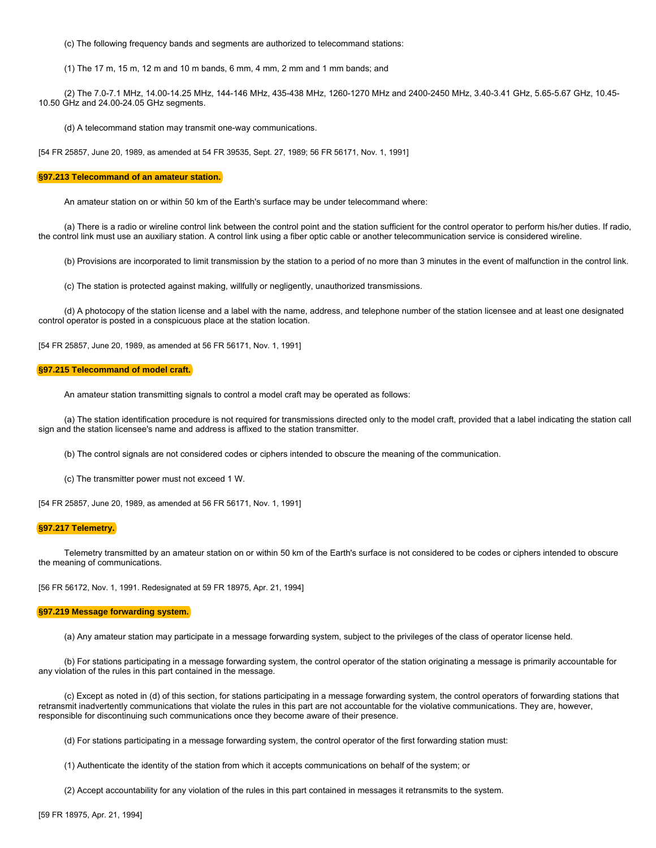(c) The following frequency bands and segments are authorized to telecommand stations:

(1) The 17 m, 15 m, 12 m and 10 m bands, 6 mm, 4 mm, 2 mm and 1 mm bands; and

(2) The 7.0-7.1 MHz, 14.00-14.25 MHz, 144-146 MHz, 435-438 MHz, 1260-1270 MHz and 2400-2450 MHz, 3.40-3.41 GHz, 5.65-5.67 GHz, 10.45- 10.50 GHz and 24.00-24.05 GHz segments.

(d) A telecommand station may transmit one-way communications.

[54 FR 25857, June 20, 1989, as amended at 54 FR 39535, Sept. 27, 1989; 56 FR 56171, Nov. 1, 1991]

#### **§97.213 Telecommand of an amateur station.**

An amateur station on or within 50 km of the Earth's surface may be under telecommand where:

(a) There is a radio or wireline control link between the control point and the station sufficient for the control operator to perform his/her duties. If radio, the control link must use an auxiliary station. A control link using a fiber optic cable or another telecommunication service is considered wireline.

(b) Provisions are incorporated to limit transmission by the station to a period of no more than 3 minutes in the event of malfunction in the control link.

(c) The station is protected against making, willfully or negligently, unauthorized transmissions.

(d) A photocopy of the station license and a label with the name, address, and telephone number of the station licensee and at least one designated control operator is posted in a conspicuous place at the station location.

[54 FR 25857, June 20, 1989, as amended at 56 FR 56171, Nov. 1, 1991]

#### **§97.215 Telecommand of model craft.**

An amateur station transmitting signals to control a model craft may be operated as follows:

(a) The station identification procedure is not required for transmissions directed only to the model craft, provided that a label indicating the station call sign and the station licensee's name and address is affixed to the station transmitter.

(b) The control signals are not considered codes or ciphers intended to obscure the meaning of the communication.

(c) The transmitter power must not exceed 1 W.

[54 FR 25857, June 20, 1989, as amended at 56 FR 56171, Nov. 1, 1991]

#### **§97.217 Telemetry.**

Telemetry transmitted by an amateur station on or within 50 km of the Earth's surface is not considered to be codes or ciphers intended to obscure the meaning of communications.

[56 FR 56172, Nov. 1, 1991. Redesignated at 59 FR 18975, Apr. 21, 1994]

#### **§97.219 Message forwarding system.**

(a) Any amateur station may participate in a message forwarding system, subject to the privileges of the class of operator license held.

(b) For stations participating in a message forwarding system, the control operator of the station originating a message is primarily accountable for any violation of the rules in this part contained in the message.

(c) Except as noted in (d) of this section, for stations participating in a message forwarding system, the control operators of forwarding stations that retransmit inadvertently communications that violate the rules in this part are not accountable for the violative communications. They are, however, responsible for discontinuing such communications once they become aware of their presence.

(d) For stations participating in a message forwarding system, the control operator of the first forwarding station must:

(1) Authenticate the identity of the station from which it accepts communications on behalf of the system; or

(2) Accept accountability for any violation of the rules in this part contained in messages it retransmits to the system.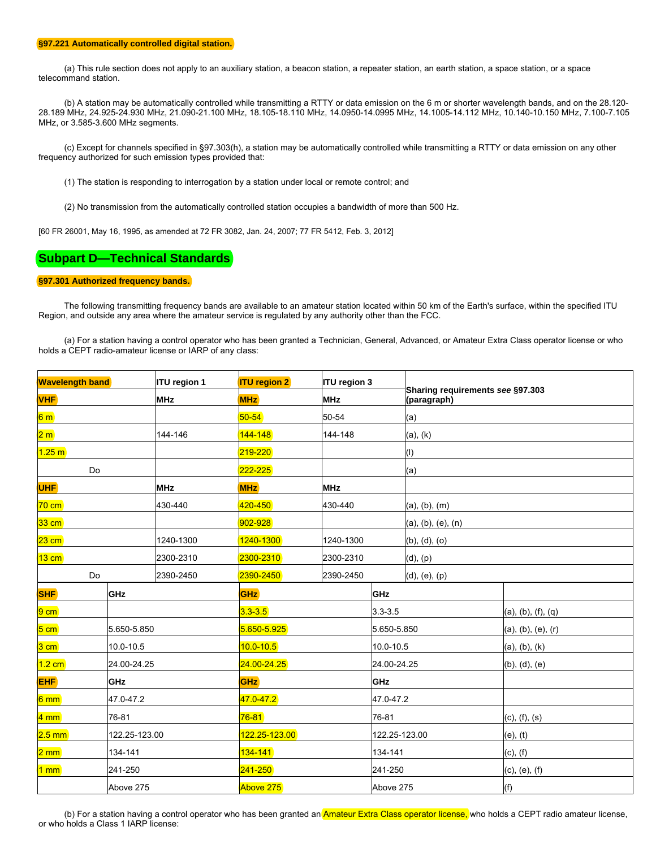# **§97.221 Automatically controlled digital station.**

(a) This rule section does not apply to an auxiliary station, a beacon station, a repeater station, an earth station, a space station, or a space telecommand station.

(b) A station may be automatically controlled while transmitting a RTTY or data emission on the 6 m or shorter wavelength bands, and on the 28.120- 28.189 MHz, 24.925-24.930 MHz, 21.090-21.100 MHz, 18.105-18.110 MHz, 14.0950-14.0995 MHz, 14.1005-14.112 MHz, 10.140-10.150 MHz, 7.100-7.105 MHz, or 3.585-3.600 MHz segments.

(c) Except for channels specified in §97.303(h), a station may be automatically controlled while transmitting a RTTY or data emission on any other frequency authorized for such emission types provided that:

(1) The station is responding to interrogation by a station under local or remote control; and

(2) No transmission from the automatically controlled station occupies a bandwidth of more than 500 Hz.

[60 FR 26001, May 16, 1995, as amended at 72 FR 3082, Jan. 24, 2007; 77 FR 5412, Feb. 3, 2012]

# **Subpart D—Technical Standards**

# **§97.301 Authorized frequency bands.**

The following transmitting frequency bands are available to an amateur station located within 50 km of the Earth's surface, within the specified ITU Region, and outside any area where the amateur service is regulated by any authority other than the FCC.

(a) For a station having a control operator who has been granted a Technician, General, Advanced, or Amateur Extra Class operator license or who holds a CEPT radio-amateur license or IARP of any class:

| <b>Wavelength band</b> |               | <b>ITU</b> region 1                    | <b>ITU region 2</b><br><b>ITU region 3</b> |            | Sharing requirements see §97.303 |                    |                    |
|------------------------|---------------|----------------------------------------|--------------------------------------------|------------|----------------------------------|--------------------|--------------------|
| <b>VHF</b>             |               | <b>MHz</b><br><b>MHz</b><br><b>MHz</b> |                                            |            | (paragraph)                      |                    |                    |
| 6 <sub>m</sub>         |               |                                        | $50 - 54$                                  | 50-54      |                                  | (a)                |                    |
| 2 m                    |               | 144-146                                | 144-148                                    | 144-148    |                                  | (a), (k)           |                    |
| 1.25 m                 |               |                                        | 219-220                                    |            |                                  | (1)                |                    |
| Do                     |               |                                        | 222-225                                    |            |                                  | (a)                |                    |
| <b>UHF</b>             |               | <b>MHz</b>                             | <b>MHz</b>                                 | <b>MHz</b> |                                  |                    |                    |
| $70 \text{ cm}$        |               | 430-440                                | 420-450                                    | 430-440    |                                  | (a), (b), (m)      |                    |
| $33 \text{ cm}$        |               |                                        | 902-928                                    |            |                                  | (a), (b), (e), (n) |                    |
| $23 \text{ cm}$        |               | 1240-1300                              | 1240-1300                                  | 1240-1300  |                                  | (b), (d), (o)      |                    |
| $13 \text{ cm}$        |               | 2300-2310                              | 2300-2310                                  | 2300-2310  |                                  | (d), (p)           |                    |
| Do                     |               | 2390-2450                              | 2390-2450                                  | 2390-2450  |                                  | (d), (e), (p)      |                    |
| <b>SHF</b>             | GHz           |                                        | <b>GHz</b>                                 |            | GHz                              |                    |                    |
| $9 \text{ cm}$         |               |                                        | $3.3 - 3.5$                                |            | $3.3 - 3.5$                      |                    | (a), (b), (f), (q) |
| $5 \text{ cm}$         | 5.650-5.850   |                                        | 5.650-5.925                                |            | 5.650-5.850                      |                    | (a), (b), (e), (r) |
| $3 \text{ cm}$         | 10.0-10.5     |                                        | $10.0 - 10.5$                              |            | 10.0-10.5                        |                    | (a), (b), (k)      |
| $1.2 \text{ cm}$       | 24.00-24.25   |                                        | 24.00-24.25                                |            | 24.00-24.25                      |                    | (b), (d), (e)      |
| <b>EHF</b>             | <b>GHz</b>    |                                        | <b>GHz</b>                                 |            | <b>GHz</b>                       |                    |                    |
| 6 mm                   | 47.0-47.2     |                                        | 47.0-47.2                                  |            | 47.0-47.2                        |                    |                    |
| 4 mm                   | 76-81         |                                        | $76-81$                                    |            | 76-81                            |                    | (c), (f), (s)      |
| $2.5 \text{ mm}$       | 122.25-123.00 |                                        | 122.25-123.00                              |            | 122.25-123.00                    |                    | $(e)$ , $(t)$      |
| 2 mm                   | 134-141       |                                        | 134-141                                    |            | 134-141                          |                    | $(c)$ , $(f)$      |
| 1mm                    | 241-250       |                                        | 241-250                                    |            | 241-250                          |                    | (c), (e), (f)      |
|                        | Above 275     |                                        | Above 275                                  |            | Above 275                        |                    | (f)                |

(b) For a station having a control operator who has been granted an **Amateur Extra Class operator license**, who holds a CEPT radio amateur license, or who holds a Class 1 IARP license: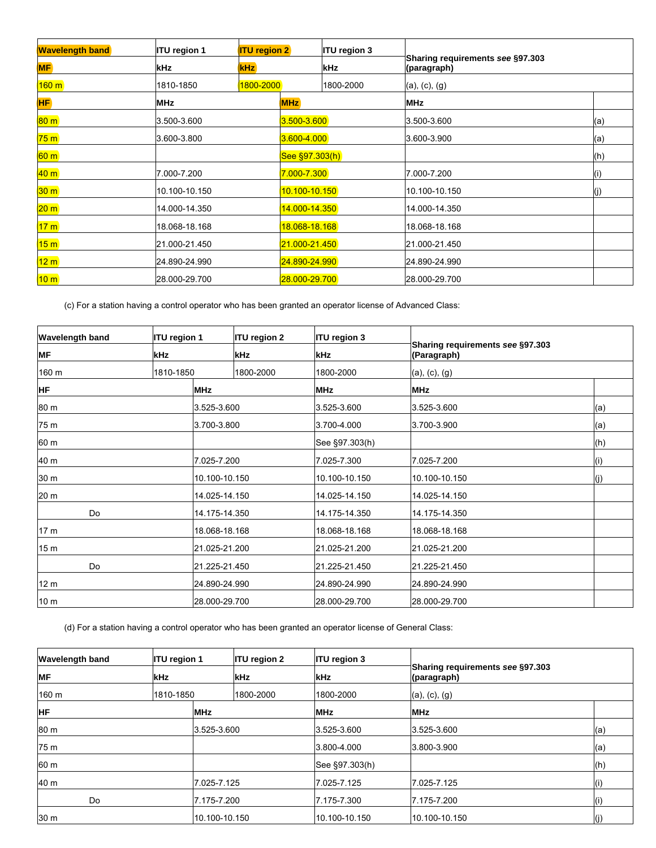| <b>Wavelength band</b> | <b>ITU region 1</b>            | <b>ITU region 2</b> |                 | <b>ITU region 3</b> | Sharing requirements see §97.303 |     |     |
|------------------------|--------------------------------|---------------------|-----------------|---------------------|----------------------------------|-----|-----|
| <b>MF</b>              | <b>kHz</b>                     | <b>kHz</b>          |                 | <b>kHz</b>          | (paragraph)                      |     |     |
| 160 m                  | 1810-1850                      | 1800-2000           |                 | 1800-2000           | (a), (c), (g)                    |     |     |
| <b>HE</b>              | <b>MHz</b>                     |                     | <b>MHz</b>      |                     | <b>MHz</b>                       |     |     |
| 80 m                   | 3.500-3.600                    |                     | $3.500 - 3.600$ |                     | 3.500-3.600                      |     | (a) |
| 75 m                   | 3.600-3.800                    |                     | $3.600 - 4.000$ |                     | 3.600-3.900                      |     | (a) |
| 60 <sub>m</sub>        |                                | See $\S$ 97.303(h)  |                 |                     |                                  | (h) |     |
| 40 <sub>m</sub>        | 7.000-7.200                    |                     | 7.000-7.300     |                     | 7.000-7.200                      |     | (i) |
| 30 <sub>m</sub>        | 10.100-10.150                  |                     | 10.100-10.150   |                     | 10.100-10.150                    |     | (j) |
| $ 20 \text{ m} $       | 14.000-14.350<br>14.000-14.350 |                     | 14.000-14.350   |                     |                                  |     |     |
| 17 <sub>m</sub>        | 18.068-18.168                  |                     | 18.068-18.168   |                     | 18.068-18.168                    |     |     |
| 15 <sub>m</sub>        | 21.000-21.450                  |                     | 21.000-21.450   |                     | 21.000-21.450                    |     |     |
| 12 m                   | 24.890-24.990                  | 24.890-24.990       |                 | 24.890-24.990       |                                  |     |     |
| 10 <sub>m</sub>        | 28.000-29.700                  |                     | 28.000-29.700   |                     | 28.000-29.700                    |     |     |

(c) For a station having a control operator who has been granted an operator license of Advanced Class:

| <b>Wavelength band</b><br><b>ITU region 1</b> |            |               | <b>ITU region 2</b> | <b>ITU region 3</b> | Sharing requirements see §97.303 |     |  |
|-----------------------------------------------|------------|---------------|---------------------|---------------------|----------------------------------|-----|--|
| <b>MF</b>                                     | <b>kHz</b> |               | <b>kHz</b>          | <b>kHz</b>          | (Paragraph)                      |     |  |
| 160 m                                         | 1810-1850  |               | 1800-2000           | 1800-2000           | (a), (c), (g)                    |     |  |
| HF                                            |            | <b>MHz</b>    |                     | <b>MHz</b>          | <b>MHz</b>                       |     |  |
| 80 m                                          |            | 3.525-3.600   |                     | 3.525-3.600         | 3.525-3.600                      | (a) |  |
| 75 m                                          |            | 3.700-3.800   |                     | 3.700-4.000         | 3.700-3.900                      | (a) |  |
| 60 m                                          |            |               |                     | See §97.303(h)      |                                  | (h) |  |
| 40 m                                          |            | 7.025-7.200   |                     | 7.025-7.300         | 7.025-7.200                      | (i) |  |
| 30 m                                          |            | 10.100-10.150 |                     | 10.100-10.150       | 10.100-10.150                    | (j) |  |
| 20 m                                          |            | 14.025-14.150 |                     | 14.025-14.150       | 14.025-14.150                    |     |  |
| Do                                            |            | 14.175-14.350 |                     | 14.175-14.350       | 14.175-14.350                    |     |  |
| 17 <sub>m</sub>                               |            | 18.068-18.168 |                     | 18.068-18.168       | 18.068-18.168                    |     |  |
| 15 <sub>m</sub><br>21.025-21.200              |            |               | 21.025-21.200       | 21.025-21.200       |                                  |     |  |
| Do<br>21.225-21.450                           |            |               | 21.225-21.450       | 21.225-21.450       |                                  |     |  |
| 12 <sub>m</sub><br>24.890-24.990              |            |               | 24.890-24.990       | 24.890-24.990       |                                  |     |  |
| 10 <sub>m</sub>                               |            | 28.000-29.700 |                     | 28.000-29.700       | 28.000-29.700                    |     |  |

(d) For a station having a control operator who has been granted an operator license of General Class:

| <b>Wavelength band</b><br><b>ITU region 1</b> |            |             | <b>ITU region 2</b> | <b>ITU region 3</b> | Sharing requirements see §97.303 |     |  |
|-----------------------------------------------|------------|-------------|---------------------|---------------------|----------------------------------|-----|--|
| MF                                            | <b>kHz</b> | <b>kHz</b>  |                     | <b>kHz</b>          | (paragraph)                      |     |  |
| 160 m                                         | 1810-1850  |             | 1800-2000           | 1800-2000           | (a), (c), (g)                    |     |  |
| HF<br><b>MHz</b>                              |            |             |                     | <b>MHz</b>          | <b>MHz</b>                       |     |  |
| 80 m                                          |            | 3.525-3.600 |                     | 3.525-3.600         | 3.525-3.600                      | (a) |  |
| 75 <sub>m</sub>                               |            |             |                     | 3.800-4.000         | 3.800-3.900                      | (a) |  |
| 60 m                                          |            |             |                     | See §97.303(h)      |                                  | (h) |  |
| 40 m                                          |            | 7.025-7.125 |                     | 7.025-7.125         | 7.025-7.125                      | (i) |  |
| Do                                            |            | 7.175-7.200 |                     | 7.175-7.300         | 7.175-7.200                      |     |  |
| 30 m<br>10.100-10.150                         |            |             | 10.100-10.150       | 10.100-10.150       | (i)                              |     |  |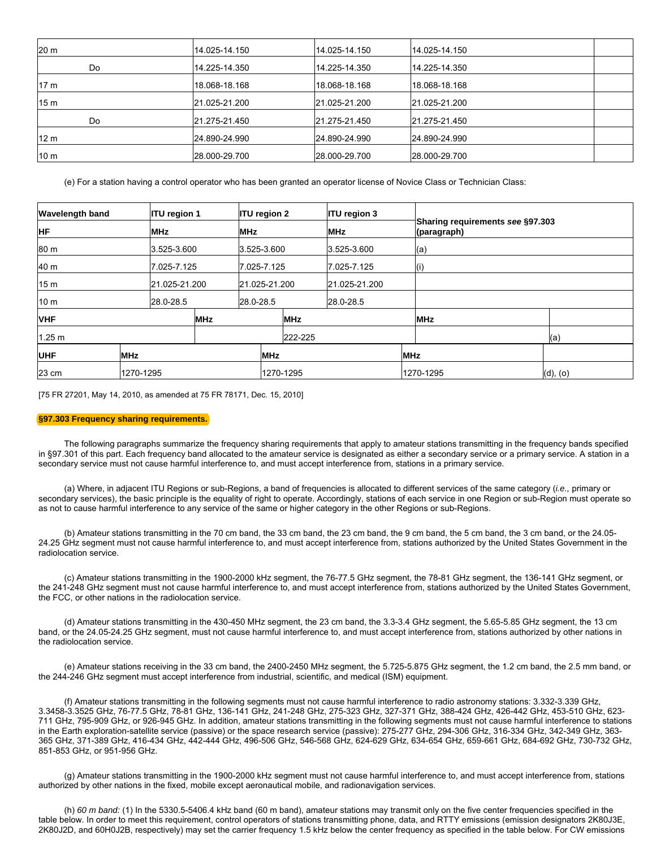| 20 <sub>m</sub> | 14.025-14.150 | 14.025-14.150 | 14.025-14.150 |  |
|-----------------|---------------|---------------|---------------|--|
| Do              | 14.225-14.350 | 14.225-14.350 | 14.225-14.350 |  |
| 17 <sub>m</sub> | 18.068-18.168 | 18.068-18.168 | 18.068-18.168 |  |
| 15 <sub>m</sub> | 21.025-21.200 | 21.025-21.200 | 21.025-21.200 |  |
| Do              | 21.275-21.450 | 21.275-21.450 | 21.275-21.450 |  |
| 12 <sub>m</sub> | 24.890-24.990 | 24.890-24.990 | 24.890-24.990 |  |
| 10 <sub>m</sub> | 28.000-29.700 | 28.000-29.700 | 28.000-29.700 |  |

(e) For a station having a control operator who has been granted an operator license of Novice Class or Technician Class:

| <b>Wavelength band</b><br><b>HF</b> |            | <b>ITU</b> region 1<br><b>MHz</b> |            | <b>ITU region 2</b><br><b>MHz</b> |             |             | <b>ITU region 3</b><br><b>MHz</b> |           | Sharing requirements see §97.303<br>(paragraph) |     |  |
|-------------------------------------|------------|-----------------------------------|------------|-----------------------------------|-------------|-------------|-----------------------------------|-----------|-------------------------------------------------|-----|--|
| 80 m                                |            | 3.525-3.600                       |            |                                   | 3.525-3.600 |             | 3.525-3.600                       |           | (a)                                             |     |  |
| 40 m                                |            | 7.025-7.125                       |            | 7.025-7.125                       |             | 7.025-7.125 |                                   | (i)       |                                                 |     |  |
| 15 <sub>m</sub>                     |            | 21.025-21.200                     |            | 21.025-21.200                     |             |             | 21.025-21.200                     |           |                                                 |     |  |
| 10 <sub>m</sub>                     |            | 28.0-28.5                         |            | 28.0-28.5                         |             |             | 28.0-28.5                         |           |                                                 |     |  |
| <b>VHF</b>                          |            |                                   | <b>MHz</b> |                                   |             | <b>MHz</b>  |                                   |           | <b>MHz</b>                                      |     |  |
| 1.25 <sub>m</sub>                   |            |                                   |            |                                   |             | 222-225     |                                   |           |                                                 | (a) |  |
| <b>UHF</b>                          | <b>MHz</b> |                                   |            |                                   | <b>MHz</b>  |             | <b>MHz</b>                        |           |                                                 |     |  |
| 23 cm                               | 1270-1295  |                                   |            |                                   | 1270-1295   |             |                                   | 1270-1295 | $(d)$ , $(o)$                                   |     |  |

[75 FR 27201, May 14, 2010, as amended at 75 FR 78171, Dec. 15, 2010]

# **§97.303 Frequency sharing requirements.**

The following paragraphs summarize the frequency sharing requirements that apply to amateur stations transmitting in the frequency bands specified in §97.301 of this part. Each frequency band allocated to the amateur service is designated as either a secondary service or a primary service. A station in a secondary service must not cause harmful interference to, and must accept interference from, stations in a primary service.

(a) Where, in adjacent ITU Regions or sub-Regions, a band of frequencies is allocated to different services of the same category (*i.e.,* primary or secondary services), the basic principle is the equality of right to operate. Accordingly, stations of each service in one Region or sub-Region must operate so as not to cause harmful interference to any service of the same or higher category in the other Regions or sub-Regions.

(b) Amateur stations transmitting in the 70 cm band, the 33 cm band, the 23 cm band, the 9 cm band, the 5 cm band, the 3 cm band, or the 24.05-24.25 GHz segment must not cause harmful interference to, and must accept interference from, stations authorized by the United States Government in the radiolocation service.

(c) Amateur stations transmitting in the 1900-2000 kHz segment, the 76-77.5 GHz segment, the 78-81 GHz segment, the 136-141 GHz segment, or the 241-248 GHz segment must not cause harmful interference to, and must accept interference from, stations authorized by the United States Government, the FCC, or other nations in the radiolocation service.

(d) Amateur stations transmitting in the 430-450 MHz segment, the 23 cm band, the 3.3-3.4 GHz segment, the 5.65-5.85 GHz segment, the 13 cm band, or the 24.05-24.25 GHz segment, must not cause harmful interference to, and must accept interference from, stations authorized by other nations in the radiolocation service.

(e) Amateur stations receiving in the 33 cm band, the 2400-2450 MHz segment, the 5.725-5.875 GHz segment, the 1.2 cm band, the 2.5 mm band, or the 244-246 GHz segment must accept interference from industrial, scientific, and medical (ISM) equipment.

(f) Amateur stations transmitting in the following segments must not cause harmful interference to radio astronomy stations: 3.332-3.339 GHz, 3.3458-3.3525 GHz, 76-77.5 GHz, 78-81 GHz, 136-141 GHz, 241-248 GHz, 275-323 GHz, 327-371 GHz, 388-424 GHz, 426-442 GHz, 453-510 GHz, 623- 711 GHz, 795-909 GHz, or 926-945 GHz. In addition, amateur stations transmitting in the following segments must not cause harmful interference to stations in the Earth exploration-satellite service (passive) or the space research service (passive): 275-277 GHz, 294-306 GHz, 316-334 GHz, 342-349 GHz, 363- 365 GHz, 371-389 GHz, 416-434 GHz, 442-444 GHz, 496-506 GHz, 546-568 GHz, 624-629 GHz, 634-654 GHz, 659-661 GHz, 684-692 GHz, 730-732 GHz, 851-853 GHz, or 951-956 GHz.

(g) Amateur stations transmitting in the 1900-2000 kHz segment must not cause harmful interference to, and must accept interference from, stations authorized by other nations in the fixed, mobile except aeronautical mobile, and radionavigation services.

(h) *60 m band:* (1) In the 5330.5-5406.4 kHz band (60 m band), amateur stations may transmit only on the five center frequencies specified in the table below. In order to meet this requirement, control operators of stations transmitting phone, data, and RTTY emissions (emission designators 2K80J3E, 2K80J2D, and 60H0J2B, respectively) may set the carrier frequency 1.5 kHz below the center frequency as specified in the table below. For CW emissions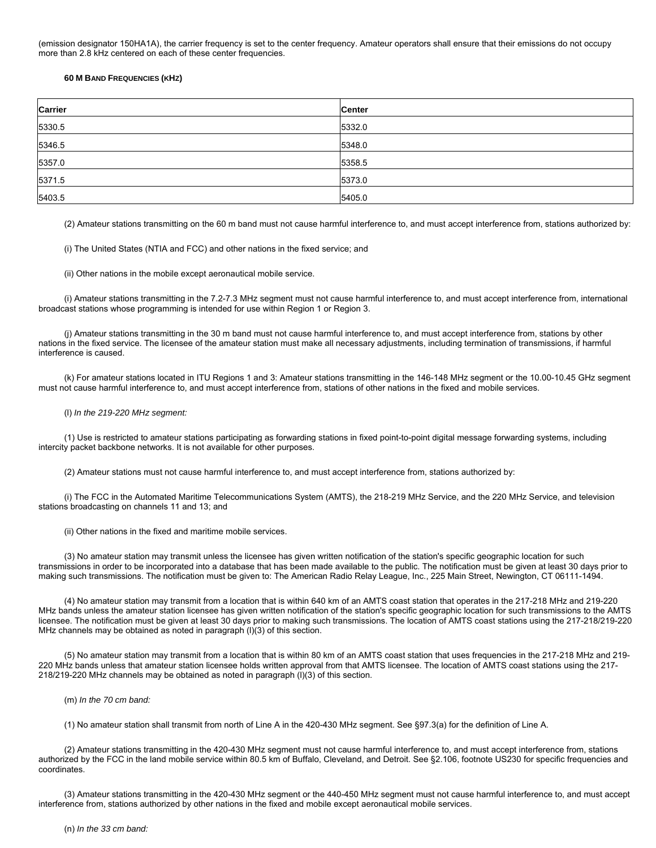(emission designator 150HA1A), the carrier frequency is set to the center frequency. Amateur operators shall ensure that their emissions do not occupy more than 2.8 kHz centered on each of these center frequencies.

# **60 M BAND FREQUENCIES (KHZ)**

| <b>Carrier</b> | <b>Center</b> |
|----------------|---------------|
| 5330.5         | 5332.0        |
| 5346.5         | 5348.0        |
| 5357.0         | 5358.5        |
| 5371.5         | 5373.0        |
| 5403.5         | 5405.0        |

(2) Amateur stations transmitting on the 60 m band must not cause harmful interference to, and must accept interference from, stations authorized by:

(i) The United States (NTIA and FCC) and other nations in the fixed service; and

(ii) Other nations in the mobile except aeronautical mobile service.

(i) Amateur stations transmitting in the 7.2-7.3 MHz segment must not cause harmful interference to, and must accept interference from, international broadcast stations whose programming is intended for use within Region 1 or Region 3.

(j) Amateur stations transmitting in the 30 m band must not cause harmful interference to, and must accept interference from, stations by other nations in the fixed service. The licensee of the amateur station must make all necessary adjustments, including termination of transmissions, if harmful interference is caused.

(k) For amateur stations located in ITU Regions 1 and 3: Amateur stations transmitting in the 146-148 MHz segment or the 10.00-10.45 GHz segment must not cause harmful interference to, and must accept interference from, stations of other nations in the fixed and mobile services.

## (l) *In the 219-220 MHz segment:*

(1) Use is restricted to amateur stations participating as forwarding stations in fixed point-to-point digital message forwarding systems, including intercity packet backbone networks. It is not available for other purposes.

(2) Amateur stations must not cause harmful interference to, and must accept interference from, stations authorized by:

(i) The FCC in the Automated Maritime Telecommunications System (AMTS), the 218-219 MHz Service, and the 220 MHz Service, and television stations broadcasting on channels 11 and 13; and

(ii) Other nations in the fixed and maritime mobile services.

(3) No amateur station may transmit unless the licensee has given written notification of the station's specific geographic location for such transmissions in order to be incorporated into a database that has been made available to the public. The notification must be given at least 30 days prior to making such transmissions. The notification must be given to: The American Radio Relay League, Inc., 225 Main Street, Newington, CT 06111-1494.

(4) No amateur station may transmit from a location that is within 640 km of an AMTS coast station that operates in the 217-218 MHz and 219-220 MHz bands unless the amateur station licensee has given written notification of the station's specific geographic location for such transmissions to the AMTS licensee. The notification must be given at least 30 days prior to making such transmissions. The location of AMTS coast stations using the 217-218/219-220 MHz channels may be obtained as noted in paragraph (l)(3) of this section.

(5) No amateur station may transmit from a location that is within 80 km of an AMTS coast station that uses frequencies in the 217-218 MHz and 219- 220 MHz bands unless that amateur station licensee holds written approval from that AMTS licensee. The location of AMTS coast stations using the 217- 218/219-220 MHz channels may be obtained as noted in paragraph (l)(3) of this section.

(m) *In the 70 cm band:*

(1) No amateur station shall transmit from north of Line A in the 420-430 MHz segment. See §97.3(a) for the definition of Line A.

(2) Amateur stations transmitting in the 420-430 MHz segment must not cause harmful interference to, and must accept interference from, stations authorized by the FCC in the land mobile service within 80.5 km of Buffalo, Cleveland, and Detroit. See §2.106, footnote US230 for specific frequencies and coordinates.

(3) Amateur stations transmitting in the 420-430 MHz segment or the 440-450 MHz segment must not cause harmful interference to, and must accept interference from, stations authorized by other nations in the fixed and mobile except aeronautical mobile services.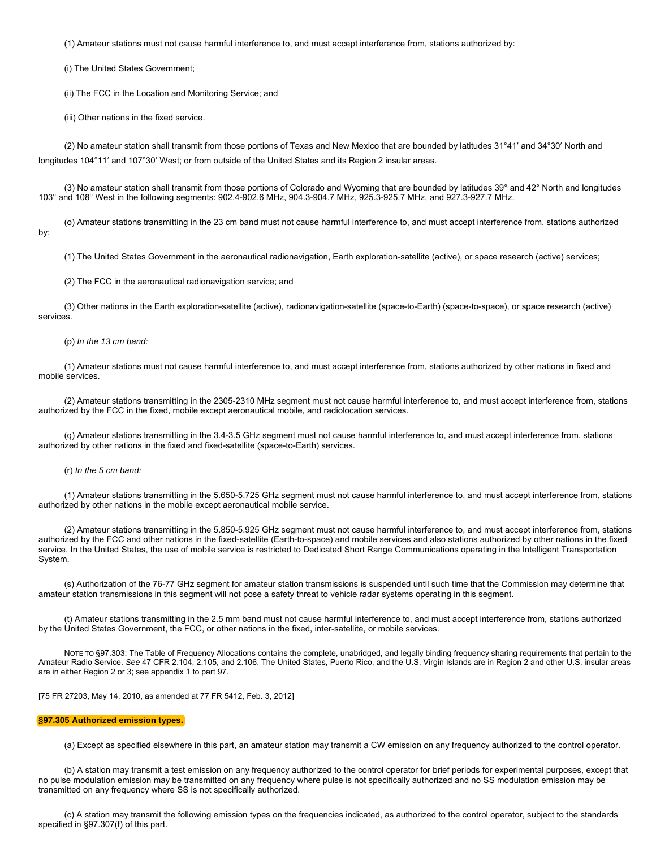(1) Amateur stations must not cause harmful interference to, and must accept interference from, stations authorized by:

(i) The United States Government;

(ii) The FCC in the Location and Monitoring Service; and

(iii) Other nations in the fixed service.

(2) No amateur station shall transmit from those portions of Texas and New Mexico that are bounded by latitudes 31°41′ and 34°30′ North and longitudes 104°11′ and 107°30′ West; or from outside of the United States and its Region 2 insular areas.

(3) No amateur station shall transmit from those portions of Colorado and Wyoming that are bounded by latitudes 39° and 42° North and longitudes 103° and 108° West in the following segments: 902.4-902.6 MHz, 904.3-904.7 MHz, 925.3-925.7 MHz, and 927.3-927.7 MHz.

(o) Amateur stations transmitting in the 23 cm band must not cause harmful interference to, and must accept interference from, stations authorized by:

(1) The United States Government in the aeronautical radionavigation, Earth exploration-satellite (active), or space research (active) services;

(2) The FCC in the aeronautical radionavigation service; and

(3) Other nations in the Earth exploration-satellite (active), radionavigation-satellite (space-to-Earth) (space-to-space), or space research (active) services.

## (p) *In the 13 cm band:*

(1) Amateur stations must not cause harmful interference to, and must accept interference from, stations authorized by other nations in fixed and mobile services.

(2) Amateur stations transmitting in the 2305-2310 MHz segment must not cause harmful interference to, and must accept interference from, stations authorized by the FCC in the fixed, mobile except aeronautical mobile, and radiolocation services.

(q) Amateur stations transmitting in the 3.4-3.5 GHz segment must not cause harmful interference to, and must accept interference from, stations authorized by other nations in the fixed and fixed-satellite (space-to-Earth) services.

(r) *In the 5 cm band:*

(1) Amateur stations transmitting in the 5.650-5.725 GHz segment must not cause harmful interference to, and must accept interference from, stations authorized by other nations in the mobile except aeronautical mobile service.

(2) Amateur stations transmitting in the 5.850-5.925 GHz segment must not cause harmful interference to, and must accept interference from, stations authorized by the FCC and other nations in the fixed-satellite (Earth-to-space) and mobile services and also stations authorized by other nations in the fixed service. In the United States, the use of mobile service is restricted to Dedicated Short Range Communications operating in the Intelligent Transportation System.

(s) Authorization of the 76-77 GHz segment for amateur station transmissions is suspended until such time that the Commission may determine that amateur station transmissions in this segment will not pose a safety threat to vehicle radar systems operating in this segment.

(t) Amateur stations transmitting in the 2.5 mm band must not cause harmful interference to, and must accept interference from, stations authorized by the United States Government, the FCC, or other nations in the fixed, inter-satellite, or mobile services.

NOTE TO §97.303: The Table of Frequency Allocations contains the complete, unabridged, and legally binding frequency sharing requirements that pertain to the Amateur Radio Service. *See* 47 CFR 2.104, 2.105, and 2.106. The United States, Puerto Rico, and the U.S. Virgin Islands are in Region 2 and other U.S. insular areas are in either Region 2 or 3; see appendix 1 to part 97.

[75 FR 27203, May 14, 2010, as amended at 77 FR 5412, Feb. 3, 2012]

#### **§97.305 Authorized emission types.**

(a) Except as specified elsewhere in this part, an amateur station may transmit a CW emission on any frequency authorized to the control operator.

(b) A station may transmit a test emission on any frequency authorized to the control operator for brief periods for experimental purposes, except that no pulse modulation emission may be transmitted on any frequency where pulse is not specifically authorized and no SS modulation emission may be transmitted on any frequency where SS is not specifically authorized.

(c) A station may transmit the following emission types on the frequencies indicated, as authorized to the control operator, subject to the standards specified in §97.307(f) of this part.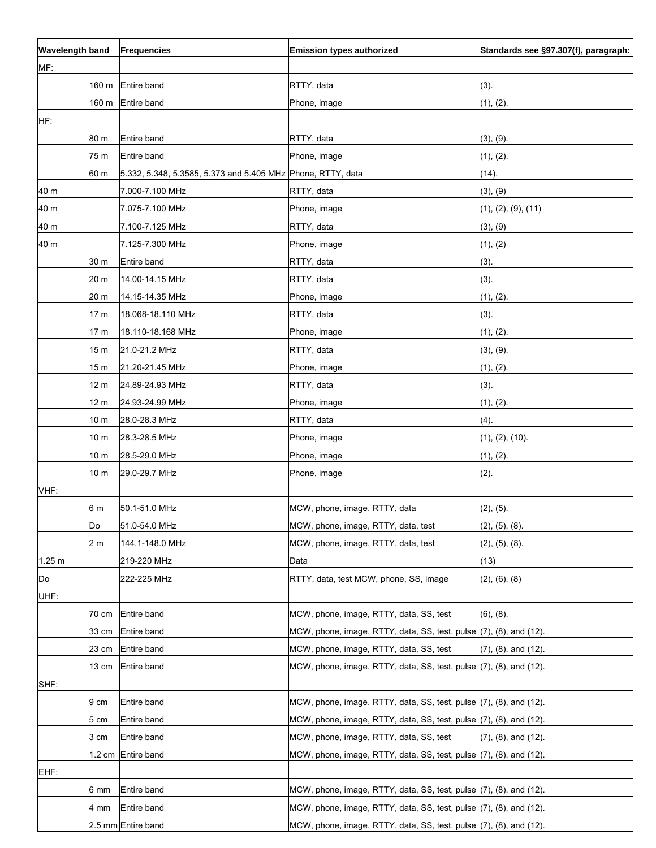| <b>Wavelength band</b> |                  | Frequencies                                                 | <b>Emission types authorized</b>                                   | Standards see §97.307(f), paragraph: |
|------------------------|------------------|-------------------------------------------------------------|--------------------------------------------------------------------|--------------------------------------|
| MF:                    |                  |                                                             |                                                                    |                                      |
|                        | 160 m            | Entire band                                                 | RTTY, data                                                         | (3).                                 |
|                        | 160 m            | Entire band                                                 | Phone, image                                                       | (1), (2).                            |
| HF:                    |                  |                                                             |                                                                    |                                      |
|                        | 80 m             | Entire band                                                 | RTTY, data                                                         | (3), (9).                            |
|                        | 75 m             | Entire band                                                 | Phone, image                                                       | (1), (2).                            |
|                        | 60 m             | 5.332, 5.348, 5.3585, 5.373 and 5.405 MHz Phone, RTTY, data |                                                                    | (14).                                |
| 40 m                   |                  | 7.000-7.100 MHz                                             | RTTY, data                                                         | (3), (9)                             |
| 40 m                   |                  | 7.075-7.100 MHz                                             | Phone, image                                                       | (1), (2), (9), (11)                  |
| 40 m                   |                  | 7.100-7.125 MHz                                             | RTTY, data                                                         | (3), (9)                             |
| 40 m                   |                  | 7.125-7.300 MHz                                             | Phone, image                                                       | (1), (2)                             |
|                        | 30 m             | Entire band                                                 | RTTY, data                                                         | (3).                                 |
|                        | 20 m             | 14.00-14.15 MHz                                             | RTTY, data                                                         | (3).                                 |
|                        | 20 m             | 14.15-14.35 MHz                                             | Phone, image                                                       | (1), (2).                            |
|                        | 17 <sub>m</sub>  | 18.068-18.110 MHz                                           | RTTY, data                                                         | (3).                                 |
|                        | 17 <sub>m</sub>  | 18.110-18.168 MHz                                           | Phone, image                                                       | (1), (2).                            |
|                        | 15 <sub>m</sub>  | 21.0-21.2 MHz                                               | RTTY, data                                                         | (3), (9).                            |
|                        | 15 <sub>m</sub>  | 21.20-21.45 MHz                                             | Phone, image                                                       | (1), (2).                            |
|                        | 12 <sub>m</sub>  | 24.89-24.93 MHz                                             | RTTY, data                                                         | (3).                                 |
|                        | 12 <sub>m</sub>  | 24.93-24.99 MHz                                             | Phone, image                                                       | (1), (2).                            |
|                        | 10 <sub>m</sub>  | 28.0-28.3 MHz                                               | RTTY, data                                                         | (4).                                 |
|                        | 10 <sub>m</sub>  | 28.3-28.5 MHz                                               | Phone, image                                                       | (1), (2), (10).                      |
|                        | 10 <sub>m</sub>  | 28.5-29.0 MHz                                               | Phone, image                                                       | (1), (2).                            |
|                        | 10 <sub>m</sub>  | 29.0-29.7 MHz                                               | Phone, image                                                       | (2).                                 |
| VHF:                   |                  |                                                             |                                                                    |                                      |
|                        | 6 m              | 50.1-51.0 MHz                                               | MCW, phone, image, RTTY, data                                      | (2), (5).                            |
|                        | Do               | 51.0-54.0 MHz                                               | MCW, phone, image, RTTY, data, test                                | (2), (5), (8).                       |
|                        | 2 <sub>m</sub>   | 144.1-148.0 MHz                                             | MCW, phone, image, RTTY, data, test                                | (2), (5), (8).                       |
| 1.25 <sub>m</sub>      |                  | 219-220 MHz                                                 | Data                                                               | (13)                                 |
| Do                     |                  | 222-225 MHz                                                 | RTTY, data, test MCW, phone, SS, image                             | (2), (6), (8)                        |
| UHF:                   |                  |                                                             |                                                                    |                                      |
|                        | 70 cm            | Entire band                                                 | MCW, phone, image, RTTY, data, SS, test                            | $(6)$ , $(8)$ .                      |
|                        | 33 cm            | Entire band                                                 | MCW, phone, image, RTTY, data, SS, test, pulse (7), (8), and (12). |                                      |
|                        | 23 cm            | Entire band                                                 | MCW, phone, image, RTTY, data, SS, test                            | (7), (8), and (12).                  |
|                        | 13 cm            | Entire band                                                 | MCW, phone, image, RTTY, data, SS, test, pulse (7), (8), and (12). |                                      |
| SHF:                   |                  |                                                             |                                                                    |                                      |
|                        | 9 cm             | Entire band                                                 | MCW, phone, image, RTTY, data, SS, test, pulse (7), (8), and (12). |                                      |
|                        | 5 cm             | Entire band                                                 | MCW, phone, image, RTTY, data, SS, test, pulse (7), (8), and (12). |                                      |
|                        | 3 cm             | Entire band                                                 | MCW, phone, image, RTTY, data, SS, test                            | $(7)$ , $(8)$ , and $(12)$ .         |
|                        | $1.2 \text{ cm}$ | Entire band                                                 | MCW, phone, image, RTTY, data, SS, test, pulse (7), (8), and (12). |                                      |
| EHF:                   |                  |                                                             |                                                                    |                                      |
|                        | 6 mm             | Entire band                                                 | MCW, phone, image, RTTY, data, SS, test, pulse (7), (8), and (12). |                                      |
|                        | 4 mm             | Entire band                                                 | MCW, phone, image, RTTY, data, SS, test, pulse (7), (8), and (12). |                                      |
|                        |                  | 2.5 mm Entire band                                          | MCW, phone, image, RTTY, data, SS, test, pulse (7), (8), and (12). |                                      |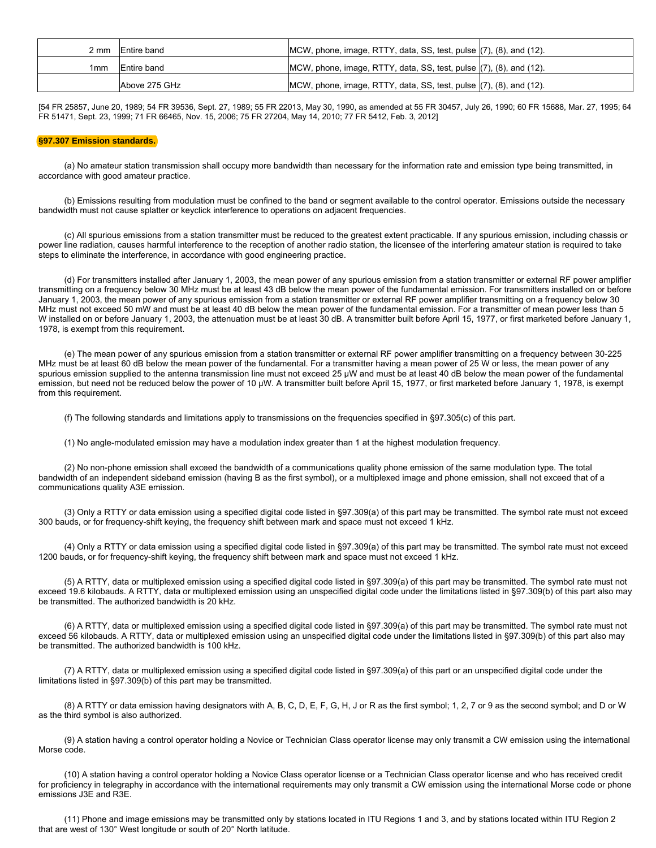| 2 mm | Entire band        | MCW, phone, image, RTTY, data, SS, test, pulse (7), (8), and (12). |  |
|------|--------------------|--------------------------------------------------------------------|--|
| 1mm  | <b>Entire band</b> | MCW, phone, image, RTTY, data, SS, test, pulse (7), (8), and (12). |  |
|      | Above 275 GHz      | MCW, phone, image, RTTY, data, SS, test, pulse (7), (8), and (12). |  |

[54 FR 25857, June 20, 1989; 54 FR 39536, Sept. 27, 1989; 55 FR 22013, May 30, 1990, as amended at 55 FR 30457, July 26, 1990; 60 FR 15688, Mar. 27, 1995; 64 FR 51471, Sept. 23, 1999; 71 FR 66465, Nov. 15, 2006; 75 FR 27204, May 14, 2010; 77 FR 5412, Feb. 3, 2012]

#### **§97.307 Emission standards.**

(a) No amateur station transmission shall occupy more bandwidth than necessary for the information rate and emission type being transmitted, in accordance with good amateur practice.

(b) Emissions resulting from modulation must be confined to the band or segment available to the control operator. Emissions outside the necessary bandwidth must not cause splatter or keyclick interference to operations on adjacent frequencies.

(c) All spurious emissions from a station transmitter must be reduced to the greatest extent practicable. If any spurious emission, including chassis or power line radiation, causes harmful interference to the reception of another radio station, the licensee of the interfering amateur station is required to take steps to eliminate the interference, in accordance with good engineering practice.

(d) For transmitters installed after January 1, 2003, the mean power of any spurious emission from a station transmitter or external RF power amplifier transmitting on a frequency below 30 MHz must be at least 43 dB below the mean power of the fundamental emission. For transmitters installed on or before January 1, 2003, the mean power of any spurious emission from a station transmitter or external RF power amplifier transmitting on a frequency below 30 MHz must not exceed 50 mW and must be at least 40 dB below the mean power of the fundamental emission. For a transmitter of mean power less than 5 W installed on or before January 1, 2003, the attenuation must be at least 30 dB. A transmitter built before April 15, 1977, or first marketed before January 1, 1978, is exempt from this requirement.

(e) The mean power of any spurious emission from a station transmitter or external RF power amplifier transmitting on a frequency between 30-225 MHz must be at least 60 dB below the mean power of the fundamental. For a transmitter having a mean power of 25 W or less, the mean power of any spurious emission supplied to the antenna transmission line must not exceed 25 µW and must be at least 40 dB below the mean power of the fundamental emission, but need not be reduced below the power of 10 µW. A transmitter built before April 15, 1977, or first marketed before January 1, 1978, is exempt from this requirement.

(f) The following standards and limitations apply to transmissions on the frequencies specified in §97.305(c) of this part.

(1) No angle-modulated emission may have a modulation index greater than 1 at the highest modulation frequency.

(2) No non-phone emission shall exceed the bandwidth of a communications quality phone emission of the same modulation type. The total bandwidth of an independent sideband emission (having B as the first symbol), or a multiplexed image and phone emission, shall not exceed that of a communications quality A3E emission.

(3) Only a RTTY or data emission using a specified digital code listed in §97.309(a) of this part may be transmitted. The symbol rate must not exceed 300 bauds, or for frequency-shift keying, the frequency shift between mark and space must not exceed 1 kHz.

(4) Only a RTTY or data emission using a specified digital code listed in §97.309(a) of this part may be transmitted. The symbol rate must not exceed 1200 bauds, or for frequency-shift keying, the frequency shift between mark and space must not exceed 1 kHz.

(5) A RTTY, data or multiplexed emission using a specified digital code listed in §97.309(a) of this part may be transmitted. The symbol rate must not exceed 19.6 kilobauds. A RTTY, data or multiplexed emission using an unspecified digital code under the limitations listed in §97.309(b) of this part also may be transmitted. The authorized bandwidth is 20 kHz.

(6) A RTTY, data or multiplexed emission using a specified digital code listed in §97.309(a) of this part may be transmitted. The symbol rate must not exceed 56 kilobauds. A RTTY, data or multiplexed emission using an unspecified digital code under the limitations listed in §97.309(b) of this part also may be transmitted. The authorized bandwidth is 100 kHz.

(7) A RTTY, data or multiplexed emission using a specified digital code listed in §97.309(a) of this part or an unspecified digital code under the limitations listed in §97.309(b) of this part may be transmitted.

(8) A RTTY or data emission having designators with A, B, C, D, E, F, G, H, J or R as the first symbol; 1, 2, 7 or 9 as the second symbol; and D or W as the third symbol is also authorized.

(9) A station having a control operator holding a Novice or Technician Class operator license may only transmit a CW emission using the international Morse code.

(10) A station having a control operator holding a Novice Class operator license or a Technician Class operator license and who has received credit for proficiency in telegraphy in accordance with the international requirements may only transmit a CW emission using the international Morse code or phone emissions J3E and R3E.

(11) Phone and image emissions may be transmitted only by stations located in ITU Regions 1 and 3, and by stations located within ITU Region 2 that are west of 130° West longitude or south of 20° North latitude.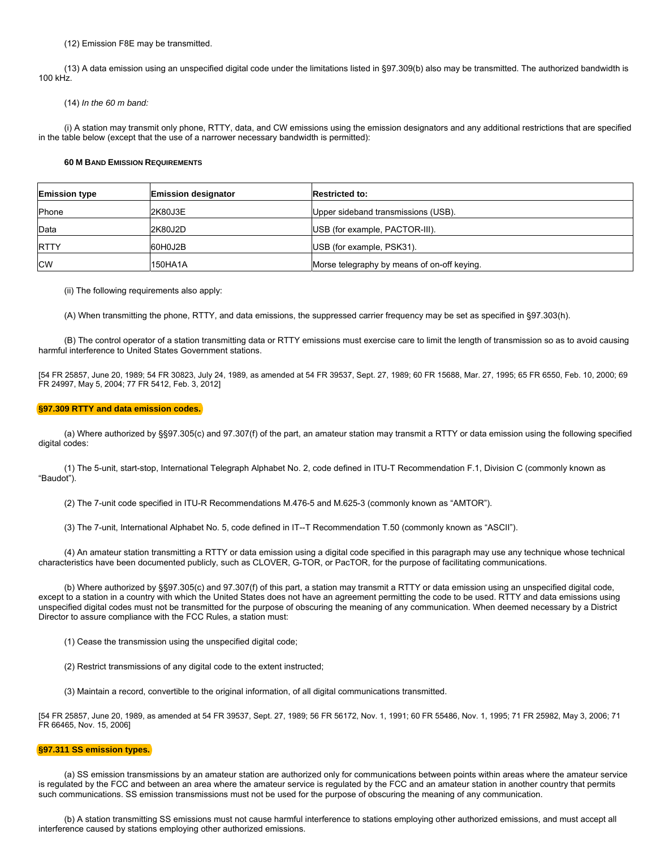#### (12) Emission F8E may be transmitted.

(13) A data emission using an unspecified digital code under the limitations listed in §97.309(b) also may be transmitted. The authorized bandwidth is 100 kHz.

#### (14) *In the 60 m band:*

(i) A station may transmit only phone, RTTY, data, and CW emissions using the emission designators and any additional restrictions that are specified in the table below (except that the use of a narrower necessary bandwidth is permitted):

#### **60 M BAND EMISSION REQUIREMENTS**

| <b>Emission type</b> | <b>Emission designator</b> | <b>Restricted to:</b>                       |
|----------------------|----------------------------|---------------------------------------------|
| Phone                | 2K80J3E                    | Upper sideband transmissions (USB).         |
| Data                 | 2K80J2D                    | USB (for example, PACTOR-III).              |
| <b>RTTY</b>          | 60H0J2B                    | USB (for example, PSK31).                   |
| <b>CW</b>            | 150HA1A                    | Morse telegraphy by means of on-off keying. |

(ii) The following requirements also apply:

(A) When transmitting the phone, RTTY, and data emissions, the suppressed carrier frequency may be set as specified in §97.303(h).

(B) The control operator of a station transmitting data or RTTY emissions must exercise care to limit the length of transmission so as to avoid causing harmful interference to United States Government stations.

[54 FR 25857, June 20, 1989; 54 FR 30823, July 24, 1989, as amended at 54 FR 39537, Sept. 27, 1989; 60 FR 15688, Mar. 27, 1995; 65 FR 6550, Feb. 10, 2000; 69 FR 24997, May 5, 2004; 77 FR 5412, Feb. 3, 2012]

#### **§97.309 RTTY and data emission codes.**

(a) Where authorized by §§97.305(c) and 97.307(f) of the part, an amateur station may transmit a RTTY or data emission using the following specified digital codes:

(1) The 5-unit, start-stop, International Telegraph Alphabet No. 2, code defined in ITU-T Recommendation F.1, Division C (commonly known as "Baudot").

(2) The 7-unit code specified in ITU-R Recommendations M.476-5 and M.625-3 (commonly known as "AMTOR").

(3) The 7-unit, International Alphabet No. 5, code defined in IT--T Recommendation T.50 (commonly known as "ASCII").

(4) An amateur station transmitting a RTTY or data emission using a digital code specified in this paragraph may use any technique whose technical characteristics have been documented publicly, such as CLOVER, G-TOR, or PacTOR, for the purpose of facilitating communications.

(b) Where authorized by §§97.305(c) and 97.307(f) of this part, a station may transmit a RTTY or data emission using an unspecified digital code, except to a station in a country with which the United States does not have an agreement permitting the code to be used. RTTY and data emissions using unspecified digital codes must not be transmitted for the purpose of obscuring the meaning of any communication. When deemed necessary by a District Director to assure compliance with the FCC Rules, a station must:

(1) Cease the transmission using the unspecified digital code;

(2) Restrict transmissions of any digital code to the extent instructed;

(3) Maintain a record, convertible to the original information, of all digital communications transmitted.

[54 FR 25857, June 20, 1989, as amended at 54 FR 39537, Sept. 27, 1989; 56 FR 56172, Nov. 1, 1991; 60 FR 55486, Nov. 1, 1995; 71 FR 25982, May 3, 2006; 71 FR 66465, Nov. 15, 2006]

#### **§97.311 SS emission types.**

(a) SS emission transmissions by an amateur station are authorized only for communications between points within areas where the amateur service is regulated by the FCC and between an area where the amateur service is regulated by the FCC and an amateur station in another country that permits such communications. SS emission transmissions must not be used for the purpose of obscuring the meaning of any communication.

(b) A station transmitting SS emissions must not cause harmful interference to stations employing other authorized emissions, and must accept all interference caused by stations employing other authorized emissions.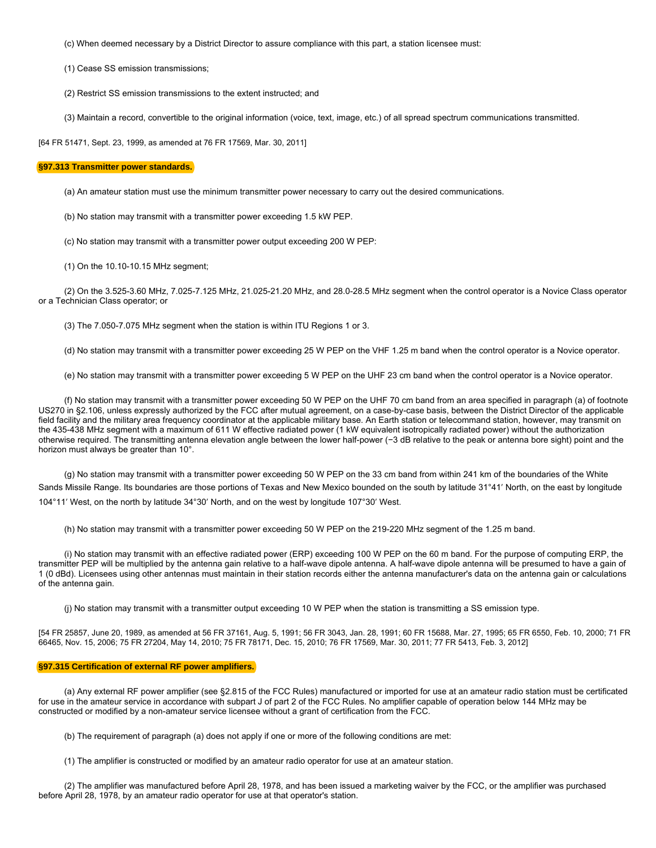(c) When deemed necessary by a District Director to assure compliance with this part, a station licensee must:

(1) Cease SS emission transmissions;

(2) Restrict SS emission transmissions to the extent instructed; and

(3) Maintain a record, convertible to the original information (voice, text, image, etc.) of all spread spectrum communications transmitted.

[64 FR 51471, Sept. 23, 1999, as amended at 76 FR 17569, Mar. 30, 2011]

#### **§97.313 Transmitter power standards.**

(a) An amateur station must use the minimum transmitter power necessary to carry out the desired communications.

(b) No station may transmit with a transmitter power exceeding 1.5 kW PEP.

(c) No station may transmit with a transmitter power output exceeding 200 W PEP:

(1) On the 10.10-10.15 MHz segment;

(2) On the 3.525-3.60 MHz, 7.025-7.125 MHz, 21.025-21.20 MHz, and 28.0-28.5 MHz segment when the control operator is a Novice Class operator or a Technician Class operator; or

(3) The 7.050-7.075 MHz segment when the station is within ITU Regions 1 or 3.

(d) No station may transmit with a transmitter power exceeding 25 W PEP on the VHF 1.25 m band when the control operator is a Novice operator.

(e) No station may transmit with a transmitter power exceeding 5 W PEP on the UHF 23 cm band when the control operator is a Novice operator.

(f) No station may transmit with a transmitter power exceeding 50 W PEP on the UHF 70 cm band from an area specified in paragraph (a) of footnote US270 in §2.106, unless expressly authorized by the FCC after mutual agreement, on a case-by-case basis, between the District Director of the applicable field facility and the military area frequency coordinator at the applicable military base. An Earth station or telecommand station, however, may transmit on the 435-438 MHz segment with a maximum of 611 W effective radiated power (1 kW equivalent isotropically radiated power) without the authorization otherwise required. The transmitting antenna elevation angle between the lower half-power (−3 dB relative to the peak or antenna bore sight) point and the horizon must always be greater than 10°.

(g) No station may transmit with a transmitter power exceeding 50 W PEP on the 33 cm band from within 241 km of the boundaries of the White Sands Missile Range. Its boundaries are those portions of Texas and New Mexico bounded on the south by latitude 31°41′ North, on the east by longitude 104°11′ West, on the north by latitude 34°30′ North, and on the west by longitude 107°30′ West.

(h) No station may transmit with a transmitter power exceeding 50 W PEP on the 219-220 MHz segment of the 1.25 m band.

(i) No station may transmit with an effective radiated power (ERP) exceeding 100 W PEP on the 60 m band. For the purpose of computing ERP, the transmitter PEP will be multiplied by the antenna gain relative to a half-wave dipole antenna. A half-wave dipole antenna will be presumed to have a gain of 1 (0 dBd). Licensees using other antennas must maintain in their station records either the antenna manufacturer's data on the antenna gain or calculations of the antenna gain.

(j) No station may transmit with a transmitter output exceeding 10 W PEP when the station is transmitting a SS emission type.

[54 FR 25857, June 20, 1989, as amended at 56 FR 37161, Aug. 5, 1991; 56 FR 3043, Jan. 28, 1991; 60 FR 15688, Mar. 27, 1995; 65 FR 6550, Feb. 10, 2000; 71 FR 66465, Nov. 15, 2006; 75 FR 27204, May 14, 2010; 75 FR 78171, Dec. 15, 2010; 76 FR 17569, Mar. 30, 2011; 77 FR 5413, Feb. 3, 2012]

# **§97.315 Certification of external RF power amplifiers.**

(a) Any external RF power amplifier (see §2.815 of the FCC Rules) manufactured or imported for use at an amateur radio station must be certificated for use in the amateur service in accordance with subpart J of part 2 of the FCC Rules. No amplifier capable of operation below 144 MHz may be constructed or modified by a non-amateur service licensee without a grant of certification from the FCC.

(b) The requirement of paragraph (a) does not apply if one or more of the following conditions are met:

(1) The amplifier is constructed or modified by an amateur radio operator for use at an amateur station.

(2) The amplifier was manufactured before April 28, 1978, and has been issued a marketing waiver by the FCC, or the amplifier was purchased before April 28, 1978, by an amateur radio operator for use at that operator's station.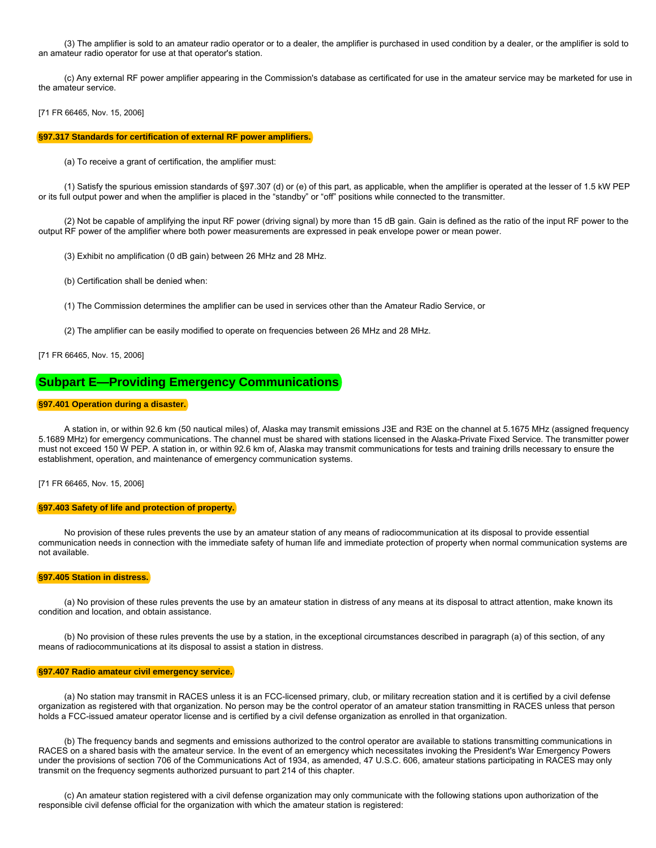(3) The amplifier is sold to an amateur radio operator or to a dealer, the amplifier is purchased in used condition by a dealer, or the amplifier is sold to an amateur radio operator for use at that operator's station.

(c) Any external RF power amplifier appearing in the Commission's database as certificated for use in the amateur service may be marketed for use in the amateur service.

[71 FR 66465, Nov. 15, 2006]

## **§97.317 Standards for certification of external RF power amplifiers.**

(a) To receive a grant of certification, the amplifier must:

(1) Satisfy the spurious emission standards of §97.307 (d) or (e) of this part, as applicable, when the amplifier is operated at the lesser of 1.5 kW PEP or its full output power and when the amplifier is placed in the "standby" or "off" positions while connected to the transmitter.

(2) Not be capable of amplifying the input RF power (driving signal) by more than 15 dB gain. Gain is defined as the ratio of the input RF power to the output RF power of the amplifier where both power measurements are expressed in peak envelope power or mean power.

(3) Exhibit no amplification (0 dB gain) between 26 MHz and 28 MHz.

(b) Certification shall be denied when:

(1) The Commission determines the amplifier can be used in services other than the Amateur Radio Service, or

(2) The amplifier can be easily modified to operate on frequencies between 26 MHz and 28 MHz.

[71 FR 66465, Nov. 15, 2006]

# **Subpart E—Providing Emergency Communications**

# **§97.401 Operation during a disaster.**

A station in, or within 92.6 km (50 nautical miles) of, Alaska may transmit emissions J3E and R3E on the channel at 5.1675 MHz (assigned frequency 5.1689 MHz) for emergency communications. The channel must be shared with stations licensed in the Alaska-Private Fixed Service. The transmitter power must not exceed 150 W PEP. A station in, or within 92.6 km of, Alaska may transmit communications for tests and training drills necessary to ensure the establishment, operation, and maintenance of emergency communication systems.

[71 FR 66465, Nov. 15, 2006]

# **§97.403 Safety of life and protection of property.**

No provision of these rules prevents the use by an amateur station of any means of radiocommunication at its disposal to provide essential communication needs in connection with the immediate safety of human life and immediate protection of property when normal communication systems are not available.

# **§97.405 Station in distress.**

(a) No provision of these rules prevents the use by an amateur station in distress of any means at its disposal to attract attention, make known its condition and location, and obtain assistance.

(b) No provision of these rules prevents the use by a station, in the exceptional circumstances described in paragraph (a) of this section, of any means of radiocommunications at its disposal to assist a station in distress.

#### **§97.407 Radio amateur civil emergency service.**

(a) No station may transmit in RACES unless it is an FCC-licensed primary, club, or military recreation station and it is certified by a civil defense organization as registered with that organization. No person may be the control operator of an amateur station transmitting in RACES unless that person holds a FCC-issued amateur operator license and is certified by a civil defense organization as enrolled in that organization.

(b) The frequency bands and segments and emissions authorized to the control operator are available to stations transmitting communications in RACES on a shared basis with the amateur service. In the event of an emergency which necessitates invoking the President's War Emergency Powers under the provisions of section 706 of the Communications Act of 1934, as amended, 47 U.S.C. 606, amateur stations participating in RACES may only transmit on the frequency segments authorized pursuant to part 214 of this chapter.

(c) An amateur station registered with a civil defense organization may only communicate with the following stations upon authorization of the responsible civil defense official for the organization with which the amateur station is registered: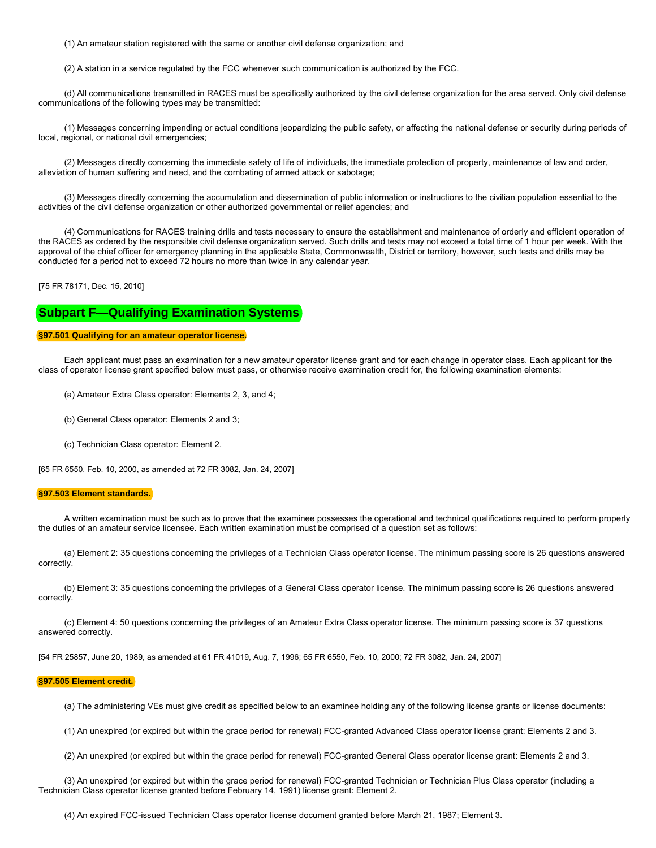(1) An amateur station registered with the same or another civil defense organization; and

(2) A station in a service regulated by the FCC whenever such communication is authorized by the FCC.

(d) All communications transmitted in RACES must be specifically authorized by the civil defense organization for the area served. Only civil defense communications of the following types may be transmitted:

(1) Messages concerning impending or actual conditions jeopardizing the public safety, or affecting the national defense or security during periods of local, regional, or national civil emergencies;

(2) Messages directly concerning the immediate safety of life of individuals, the immediate protection of property, maintenance of law and order, alleviation of human suffering and need, and the combating of armed attack or sabotage;

(3) Messages directly concerning the accumulation and dissemination of public information or instructions to the civilian population essential to the activities of the civil defense organization or other authorized governmental or relief agencies; and

(4) Communications for RACES training drills and tests necessary to ensure the establishment and maintenance of orderly and efficient operation of the RACES as ordered by the responsible civil defense organization served. Such drills and tests may not exceed a total time of 1 hour per week. With the approval of the chief officer for emergency planning in the applicable State, Commonwealth, District or territory, however, such tests and drills may be conducted for a period not to exceed 72 hours no more than twice in any calendar year.

[75 FR 78171, Dec. 15, 2010]

# **Subpart F—Qualifying Examination Systems**

# **§97.501 Qualifying for an amateur operator license.**

Each applicant must pass an examination for a new amateur operator license grant and for each change in operator class. Each applicant for the class of operator license grant specified below must pass, or otherwise receive examination credit for, the following examination elements:

(a) Amateur Extra Class operator: Elements 2, 3, and 4;

- (b) General Class operator: Elements 2 and 3;
- (c) Technician Class operator: Element 2.

[65 FR 6550, Feb. 10, 2000, as amended at 72 FR 3082, Jan. 24, 2007]

#### **§97.503 Element standards.**

A written examination must be such as to prove that the examinee possesses the operational and technical qualifications required to perform properly the duties of an amateur service licensee. Each written examination must be comprised of a question set as follows:

(a) Element 2: 35 questions concerning the privileges of a Technician Class operator license. The minimum passing score is 26 questions answered correctly.

(b) Element 3: 35 questions concerning the privileges of a General Class operator license. The minimum passing score is 26 questions answered correctly.

(c) Element 4: 50 questions concerning the privileges of an Amateur Extra Class operator license. The minimum passing score is 37 questions answered correctly.

[54 FR 25857, June 20, 1989, as amended at 61 FR 41019, Aug. 7, 1996; 65 FR 6550, Feb. 10, 2000; 72 FR 3082, Jan. 24, 2007]

#### **§97.505 Element credit.**

(a) The administering VEs must give credit as specified below to an examinee holding any of the following license grants or license documents:

- (1) An unexpired (or expired but within the grace period for renewal) FCC-granted Advanced Class operator license grant: Elements 2 and 3.
- (2) An unexpired (or expired but within the grace period for renewal) FCC-granted General Class operator license grant: Elements 2 and 3.

(3) An unexpired (or expired but within the grace period for renewal) FCC-granted Technician or Technician Plus Class operator (including a Technician Class operator license granted before February 14, 1991) license grant: Element 2.

(4) An expired FCC-issued Technician Class operator license document granted before March 21, 1987; Element 3.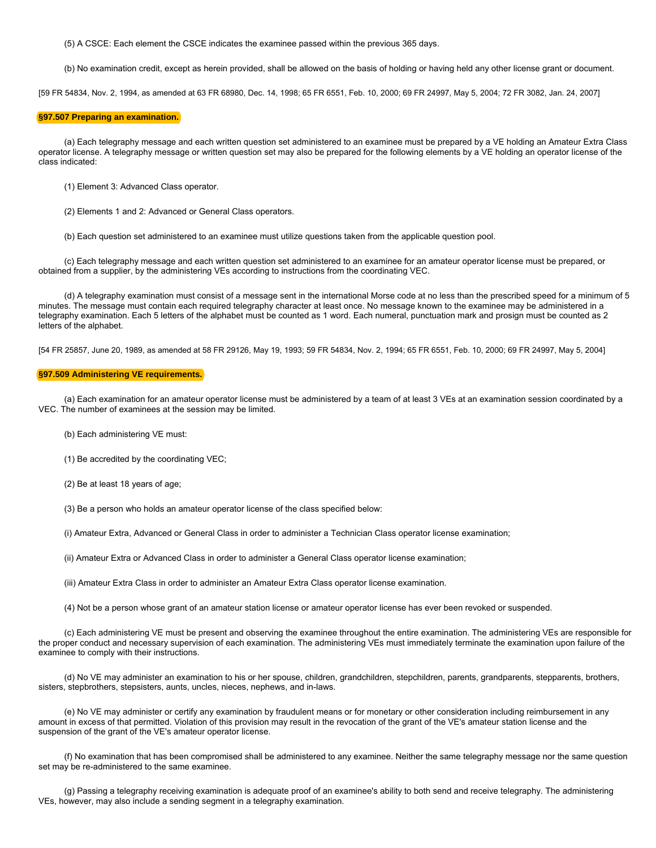(5) A CSCE: Each element the CSCE indicates the examinee passed within the previous 365 days.

(b) No examination credit, except as herein provided, shall be allowed on the basis of holding or having held any other license grant or document.

[59 FR 54834, Nov. 2, 1994, as amended at 63 FR 68980, Dec. 14, 1998; 65 FR 6551, Feb. 10, 2000; 69 FR 24997, May 5, 2004; 72 FR 3082, Jan. 24, 2007]

# **§97.507 Preparing an examination.**

(a) Each telegraphy message and each written question set administered to an examinee must be prepared by a VE holding an Amateur Extra Class operator license. A telegraphy message or written question set may also be prepared for the following elements by a VE holding an operator license of the class indicated:

- (1) Element 3: Advanced Class operator.
- (2) Elements 1 and 2: Advanced or General Class operators.

(b) Each question set administered to an examinee must utilize questions taken from the applicable question pool.

(c) Each telegraphy message and each written question set administered to an examinee for an amateur operator license must be prepared, or obtained from a supplier, by the administering VEs according to instructions from the coordinating VEC.

(d) A telegraphy examination must consist of a message sent in the international Morse code at no less than the prescribed speed for a minimum of 5 minutes. The message must contain each required telegraphy character at least once. No message known to the examinee may be administered in a telegraphy examination. Each 5 letters of the alphabet must be counted as 1 word. Each numeral, punctuation mark and prosign must be counted as 2 letters of the alphabet.

[54 FR 25857, June 20, 1989, as amended at 58 FR 29126, May 19, 1993; 59 FR 54834, Nov. 2, 1994; 65 FR 6551, Feb. 10, 2000; 69 FR 24997, May 5, 2004]

# **§97.509 Administering VE requirements.**

(a) Each examination for an amateur operator license must be administered by a team of at least 3 VEs at an examination session coordinated by a VEC. The number of examinees at the session may be limited.

- (b) Each administering VE must:
- (1) Be accredited by the coordinating VEC;
- (2) Be at least 18 years of age;

(3) Be a person who holds an amateur operator license of the class specified below:

(i) Amateur Extra, Advanced or General Class in order to administer a Technician Class operator license examination;

- (ii) Amateur Extra or Advanced Class in order to administer a General Class operator license examination;
- (iii) Amateur Extra Class in order to administer an Amateur Extra Class operator license examination.
- (4) Not be a person whose grant of an amateur station license or amateur operator license has ever been revoked or suspended.

(c) Each administering VE must be present and observing the examinee throughout the entire examination. The administering VEs are responsible for the proper conduct and necessary supervision of each examination. The administering VEs must immediately terminate the examination upon failure of the examinee to comply with their instructions.

(d) No VE may administer an examination to his or her spouse, children, grandchildren, stepchildren, parents, grandparents, stepparents, brothers, sisters, stepbrothers, stepsisters, aunts, uncles, nieces, nephews, and in-laws.

(e) No VE may administer or certify any examination by fraudulent means or for monetary or other consideration including reimbursement in any amount in excess of that permitted. Violation of this provision may result in the revocation of the grant of the VE's amateur station license and the suspension of the grant of the VE's amateur operator license.

(f) No examination that has been compromised shall be administered to any examinee. Neither the same telegraphy message nor the same question set may be re-administered to the same examinee.

(g) Passing a telegraphy receiving examination is adequate proof of an examinee's ability to both send and receive telegraphy. The administering VEs, however, may also include a sending segment in a telegraphy examination.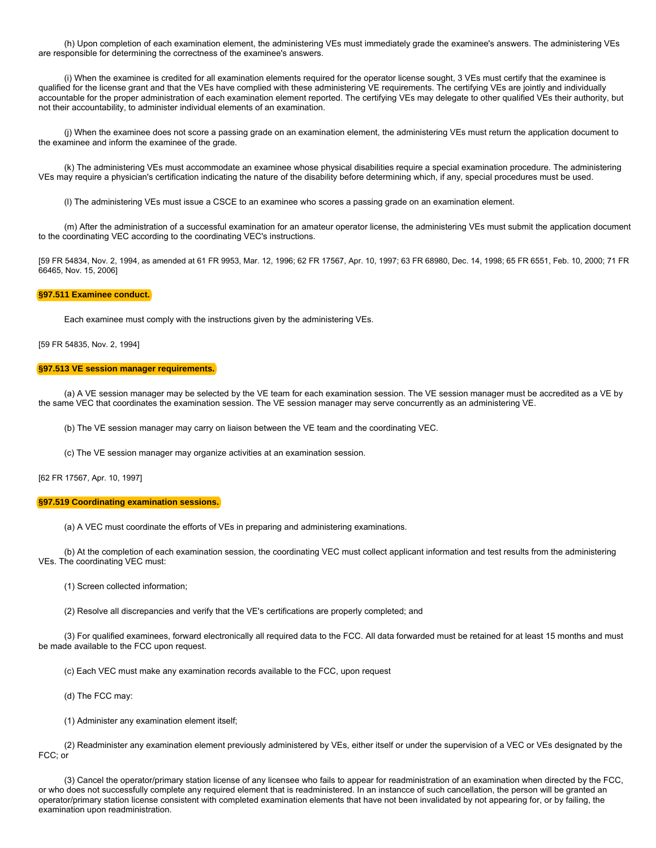(h) Upon completion of each examination element, the administering VEs must immediately grade the examinee's answers. The administering VEs are responsible for determining the correctness of the examinee's answers.

(i) When the examinee is credited for all examination elements required for the operator license sought, 3 VEs must certify that the examinee is qualified for the license grant and that the VEs have complied with these administering VE requirements. The certifying VEs are jointly and individually accountable for the proper administration of each examination element reported. The certifying VEs may delegate to other qualified VEs their authority, but not their accountability, to administer individual elements of an examination.

(j) When the examinee does not score a passing grade on an examination element, the administering VEs must return the application document to the examinee and inform the examinee of the grade.

(k) The administering VEs must accommodate an examinee whose physical disabilities require a special examination procedure. The administering VEs may require a physician's certification indicating the nature of the disability before determining which, if any, special procedures must be used.

(l) The administering VEs must issue a CSCE to an examinee who scores a passing grade on an examination element.

(m) After the administration of a successful examination for an amateur operator license, the administering VEs must submit the application document to the coordinating VEC according to the coordinating VEC's instructions.

[59 FR 54834, Nov. 2, 1994, as amended at 61 FR 9953, Mar. 12, 1996; 62 FR 17567, Apr. 10, 1997; 63 FR 68980, Dec. 14, 1998; 65 FR 6551, Feb. 10, 2000; 71 FR 66465, Nov. 15, 2006]

#### **§97.511 Examinee conduct.**

Each examinee must comply with the instructions given by the administering VEs.

[59 FR 54835, Nov. 2, 1994]

#### **§97.513 VE session manager requirements.**

(a) A VE session manager may be selected by the VE team for each examination session. The VE session manager must be accredited as a VE by the same VEC that coordinates the examination session. The VE session manager may serve concurrently as an administering VE.

(b) The VE session manager may carry on liaison between the VE team and the coordinating VEC.

(c) The VE session manager may organize activities at an examination session.

[62 FR 17567, Apr. 10, 1997]

#### **§97.519 Coordinating examination sessions.**

(a) A VEC must coordinate the efforts of VEs in preparing and administering examinations.

(b) At the completion of each examination session, the coordinating VEC must collect applicant information and test results from the administering VEs. The coordinating VEC must:

(1) Screen collected information;

(2) Resolve all discrepancies and verify that the VE's certifications are properly completed; and

(3) For qualified examinees, forward electronically all required data to the FCC. All data forwarded must be retained for at least 15 months and must be made available to the FCC upon request.

(c) Each VEC must make any examination records available to the FCC, upon request

(d) The FCC may:

(1) Administer any examination element itself;

(2) Readminister any examination element previously administered by VEs, either itself or under the supervision of a VEC or VEs designated by the FCC; or

(3) Cancel the operator/primary station license of any licensee who fails to appear for readministration of an examination when directed by the FCC, or who does not successfully complete any required element that is readministered. In an instancce of such cancellation, the person will be granted an operator/primary station license consistent with completed examination elements that have not been invalidated by not appearing for, or by failing, the examination upon readministration.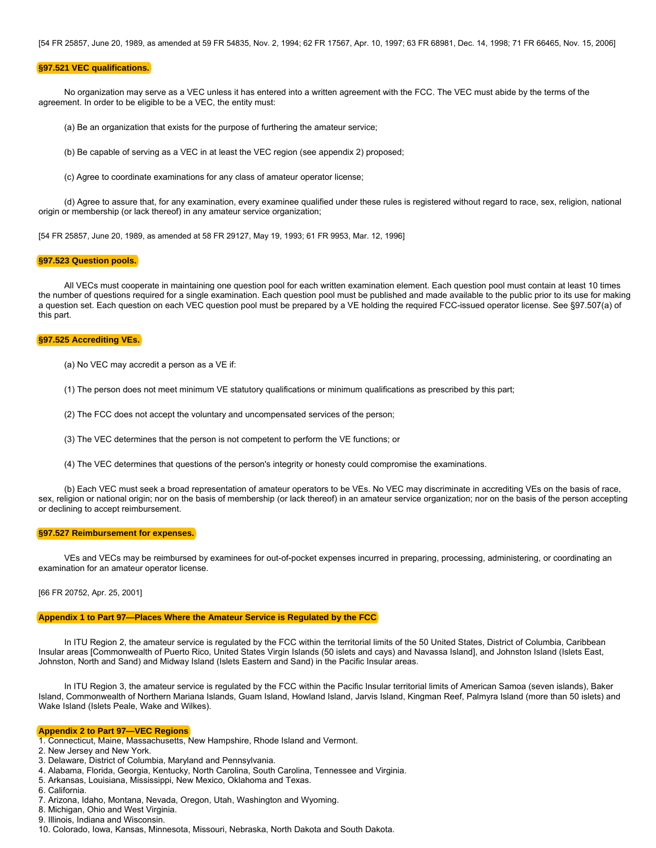[54 FR 25857, June 20, 1989, as amended at 59 FR 54835, Nov. 2, 1994; 62 FR 17567, Apr. 10, 1997; 63 FR 68981, Dec. 14, 1998; 71 FR 66465, Nov. 15, 2006]

## **§97.521 VEC qualifications.**

No organization may serve as a VEC unless it has entered into a written agreement with the FCC. The VEC must abide by the terms of the agreement. In order to be eligible to be a VEC, the entity must:

(a) Be an organization that exists for the purpose of furthering the amateur service;

(b) Be capable of serving as a VEC in at least the VEC region (see appendix 2) proposed;

(c) Agree to coordinate examinations for any class of amateur operator license;

(d) Agree to assure that, for any examination, every examinee qualified under these rules is registered without regard to race, sex, religion, national origin or membership (or lack thereof) in any amateur service organization;

[54 FR 25857, June 20, 1989, as amended at 58 FR 29127, May 19, 1993; 61 FR 9953, Mar. 12, 1996]

## **§97.523 Question pools.**

All VECs must cooperate in maintaining one question pool for each written examination element. Each question pool must contain at least 10 times the number of questions required for a single examination. Each question pool must be published and made available to the public prior to its use for making a question set. Each question on each VEC question pool must be prepared by a VE holding the required FCC-issued operator license. See §97.507(a) of this part.

## **§97.525 Accrediting VEs.**

(a) No VEC may accredit a person as a VE if:

(1) The person does not meet minimum VE statutory qualifications or minimum qualifications as prescribed by this part;

(2) The FCC does not accept the voluntary and uncompensated services of the person;

(3) The VEC determines that the person is not competent to perform the VE functions; or

(4) The VEC determines that questions of the person's integrity or honesty could compromise the examinations.

(b) Each VEC must seek a broad representation of amateur operators to be VEs. No VEC may discriminate in accrediting VEs on the basis of race, sex, religion or national origin; nor on the basis of membership (or lack thereof) in an amateur service organization; nor on the basis of the person accepting or declining to accept reimbursement.

#### **§97.527 Reimbursement for expenses.**

VEs and VECs may be reimbursed by examinees for out-of-pocket expenses incurred in preparing, processing, administering, or coordinating an examination for an amateur operator license.

[66 FR 20752, Apr. 25, 2001]

# **Appendix 1 to Part 97—Places Where the Amateur Service is Regulated by the FCC**

In ITU Region 2, the amateur service is regulated by the FCC within the territorial limits of the 50 United States, District of Columbia, Caribbean Insular areas [Commonwealth of Puerto Rico, United States Virgin Islands (50 islets and cays) and Navassa Island], and Johnston Island (Islets East, Johnston, North and Sand) and Midway Island (Islets Eastern and Sand) in the Pacific Insular areas.

In ITU Region 3, the amateur service is regulated by the FCC within the Pacific Insular territorial limits of American Samoa (seven islands), Baker Island, Commonwealth of Northern Mariana Islands, Guam Island, Howland Island, Jarvis Island, Kingman Reef, Palmyra Island (more than 50 islets) and Wake Island (Islets Peale, Wake and Wilkes).

#### **Appendix 2 to Part 97—VEC Regions**

1. Connecticut, Maine, Massachusetts, New Hampshire, Rhode Island and Vermont.

2. New Jersey and New York.

- 3. Delaware, District of Columbia, Maryland and Pennsylvania.
- 4. Alabama, Florida, Georgia, Kentucky, North Carolina, South Carolina, Tennessee and Virginia.
- 5. Arkansas, Louisiana, Mississippi, New Mexico, Oklahoma and Texas.
- 6. California.
- 7. Arizona, Idaho, Montana, Nevada, Oregon, Utah, Washington and Wyoming.
- 8. Michigan, Ohio and West Virginia.
- 9. Illinois, Indiana and Wisconsin.

10. Colorado, Iowa, Kansas, Minnesota, Missouri, Nebraska, North Dakota and South Dakota.